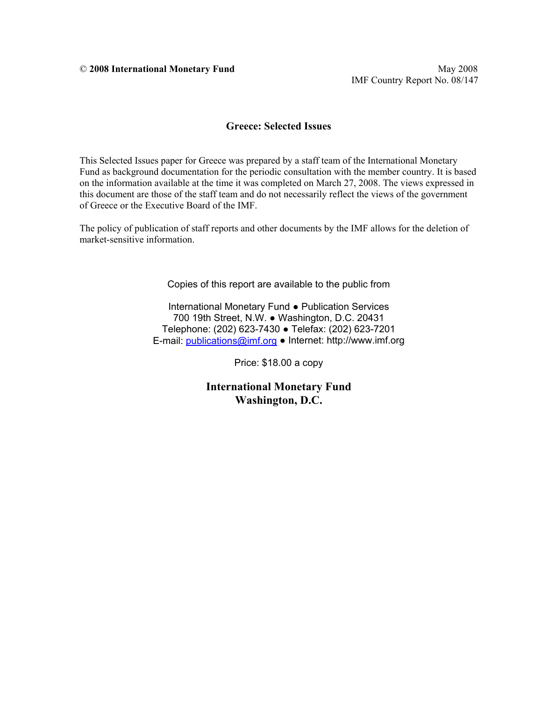IMF Country Report No. 08/147

#### **Greece: Selected Issues**

This Selected Issues paper for Greece was prepared by a staff team of the International Monetary Fund as background documentation for the periodic consultation with the member country. It is based on the information available at the time it was completed on March 27, 2008. The views expressed in this document are those of the staff team and do not necessarily reflect the views of the government of Greece or the Executive Board of the IMF.

The policy of publication of staff reports and other documents by the IMF allows for the deletion of market-sensitive information.

Copies of this report are available to the public from

International Monetary Fund ● Publication Services 700 19th Street, N.W. ● Washington, D.C. 20431 Telephone: (202) 623-7430 ● Telefax: (202) 623-7201 E-mail: publications@imf.org ● Internet: http://www.imf.org

Price: \$18.00 a copy

**International Monetary Fund Washington, D.C.**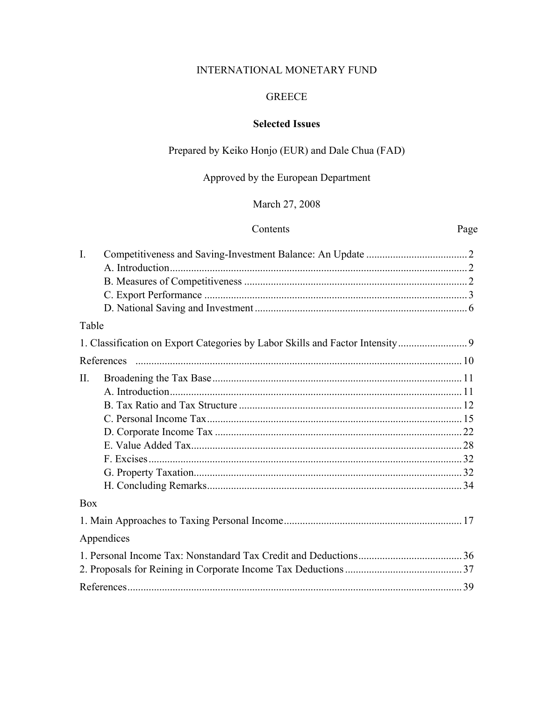## INTERNATIONAL MONETARY FUND

#### **GREECE**

## **Selected Issues**

## Prepared by Keiko Honjo (EUR) and Dale Chua (FAD)

# Approved by the European Department

## March 27, 2008

## Contents

## Page

| 1. Classification on Export Categories by Labor Skills and Factor Intensity |
|-----------------------------------------------------------------------------|
|                                                                             |
|                                                                             |
|                                                                             |
|                                                                             |
|                                                                             |
|                                                                             |
|                                                                             |
|                                                                             |
|                                                                             |
|                                                                             |
|                                                                             |
|                                                                             |
|                                                                             |
|                                                                             |
|                                                                             |
|                                                                             |
|                                                                             |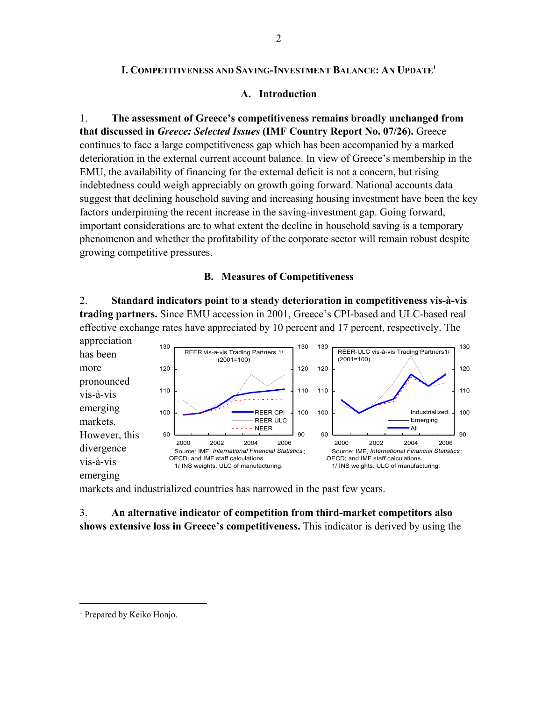#### **I. COMPETITIVENESS AND SAVING-INVESTMENT BALANCE: AN UPDATE1**

#### **A. Introduction**

1. **The assessment of Greece's competitiveness remains broadly unchanged from that discussed in** *Greece: Selected Issues* **(IMF Country Report No. 07/26).** Greece continues to face a large competitiveness gap which has been accompanied by a marked deterioration in the external current account balance. In view of Greece's membership in the EMU, the availability of financing for the external deficit is not a concern, but rising indebtedness could weigh appreciably on growth going forward. National accounts data suggest that declining household saving and increasing housing investment have been the key factors underpinning the recent increase in the saving-investment gap. Going forward, important considerations are to what extent the decline in household saving is a temporary phenomenon and whether the profitability of the corporate sector will remain robust despite growing competitive pressures.

#### **B. Measures of Competitiveness**

2. **Standard indicators point to a steady deterioration in competitiveness vis-à-vis trading partners.** Since EMU accession in 2001, Greece's CPI-based and ULC-based real effective exchange rates have appreciated by 10 percent and 17 percent, respectively. The



markets and industrialized countries has narrowed in the past few years.

### 3. **An alternative indicator of competition from third-market competitors also shows extensive loss in Greece's competitiveness.** This indicator is derived by using the

<sup>&</sup>lt;sup>1</sup> Prepared by Keiko Honjo.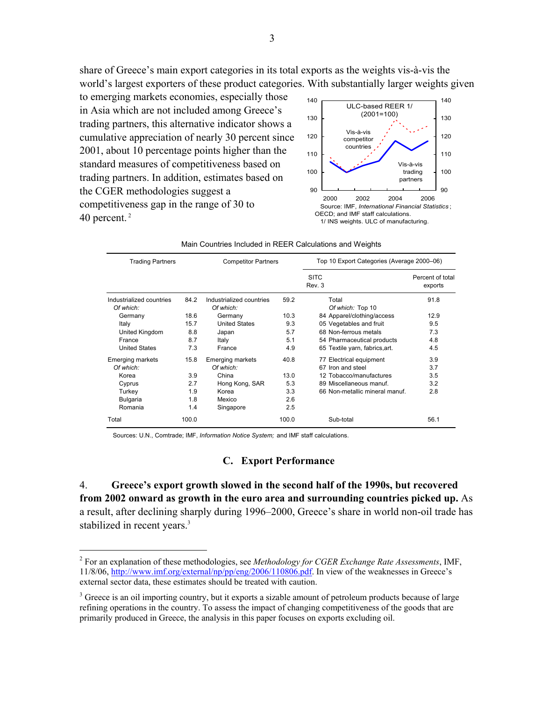share of Greece's main export categories in its total exports as the weights vis-à-vis the world's largest exporters of these product categories. With substantially larger weights given

to emerging markets economies, especially those in Asia which are not included among Greece's trading partners, this alternative indicator shows a cumulative appreciation of nearly 30 percent since 2001, about 10 percentage points higher than the standard measures of competitiveness based on trading partners. In addition, estimates based on the CGER methodologies suggest a competitiveness gap in the range of 30 to 40 percent. 2



| <b>Trading Partners</b>               |       | <b>Competitor Partners</b>            |       | Top 10 Export Categories (Average 2000-06) |                             |  |  |  |
|---------------------------------------|-------|---------------------------------------|-------|--------------------------------------------|-----------------------------|--|--|--|
|                                       |       |                                       |       | <b>SITC</b><br>Rev. 3                      | Percent of total<br>exports |  |  |  |
| Industrialized countries<br>Of which: | 84.2  | Industrialized countries<br>Of which: | 59.2  | Total<br>Of which: Top 10                  | 91.8                        |  |  |  |
| Germany                               | 18.6  | Germany                               | 10.3  | 84 Apparel/clothing/access                 | 12.9                        |  |  |  |
| Italy                                 | 15.7  | <b>United States</b>                  | 9.3   | 05 Vegetables and fruit                    | 9.5                         |  |  |  |
| United Kingdom                        | 8.8   | Japan                                 | 5.7   | 68 Non-ferrous metals                      | 7.3                         |  |  |  |
| France                                | 8.7   | Italy                                 | 5.1   | 54 Pharmaceutical products                 | 4.8                         |  |  |  |
| <b>United States</b>                  | 7.3   | France                                | 4.9   | 65 Textile yarn, fabrics, art.             | 4.5                         |  |  |  |
| <b>Emerging markets</b>               | 15.8  | <b>Emerging markets</b>               | 40.8  | 77 Electrical equipment                    | 3.9                         |  |  |  |
| Of which:                             |       | Of which:                             |       | 67 Iron and steel                          | 3.7                         |  |  |  |
| Korea                                 | 3.9   | China                                 | 13.0  | 12 Tobacco/manufactures                    | 3.5                         |  |  |  |
| Cyprus                                | 2.7   | Hong Kong, SAR                        | 5.3   | 89 Miscellaneous manuf.                    | 3.2                         |  |  |  |
| Turkey                                | 1.9   | Korea                                 | 3.3   | 66 Non-metallic mineral manuf.             | 2.8                         |  |  |  |
| Bulgaria                              | 1.8   | Mexico                                | 2.6   |                                            |                             |  |  |  |
| Romania                               | 1.4   | Singapore                             | 2.5   |                                            |                             |  |  |  |
| Total                                 | 100.0 |                                       | 100.0 | Sub-total                                  | 56.1                        |  |  |  |

|  |  | Main Countries Included in REER Calculations and Weights |  |
|--|--|----------------------------------------------------------|--|
|  |  |                                                          |  |

Sources: U.N., Comtrade; IMF, *Information Notice System;* and IMF staff calculations.

 $\overline{a}$ 

#### **C. Export Performance**

4. **Greece's export growth slowed in the second half of the 1990s, but recovered from 2002 onward as growth in the euro area and surrounding countries picked up.** As a result, after declining sharply during 1996–2000, Greece's share in world non-oil trade has stabilized in recent years.<sup>3</sup>

<sup>2</sup> For an explanation of these methodologies, see *Methodology for CGER Exchange Rate Assessments*, IMF, 11/8/06, http://www.imf.org/external/np/pp/eng/2006/110806.pdf. In view of the weaknesses in Greece's external sector data, these estimates should be treated with caution.

<sup>&</sup>lt;sup>3</sup> Greece is an oil importing country, but it exports a sizable amount of petroleum products because of large refining operations in the country. To assess the impact of changing competitiveness of the goods that are primarily produced in Greece, the analysis in this paper focuses on exports excluding oil.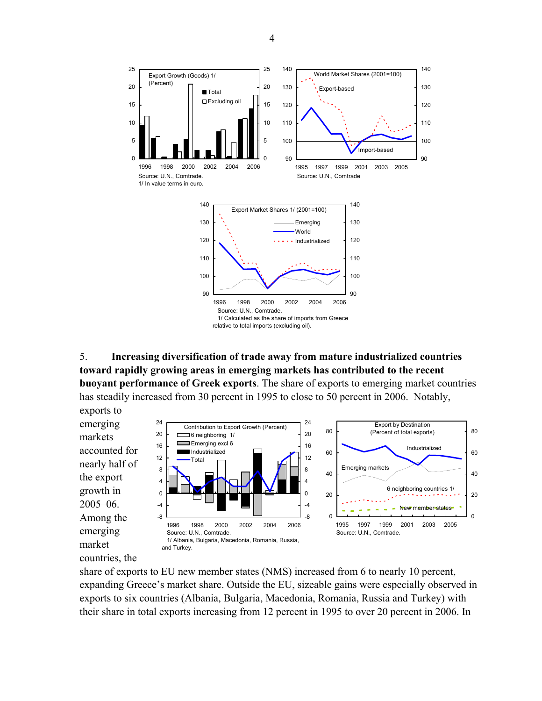

5. **Increasing diversification of trade away from mature industrialized countries toward rapidly growing areas in emerging markets has contributed to the recent buoyant performance of Greek exports**. The share of exports to emerging market countries has steadily increased from 30 percent in 1995 to close to 50 percent in 2006. Notably,

exports to 24 24 emerging Export by Destination Contribution to Export Growth (Percent) 80 (Percent of total exports) 80 20 20  $\equiv$  6 neighboring 1/ markets Emerging excl 6 п 16 16 Industrialized accounted for Industrialized 60 60 12 12 Total nearly half of Emerging markets 8 8 40 40 the export 4 4 6 neighboring countries 1/ growth in 0  $\overline{0}$ 20 20 2005–06. -4 -4 New member states Among the -8 -8  $\Omega$  $\Omega$ 1995 1997 1999 2001 2003 2005 1996 1998 2000 2002 2004 2006 emerging Source: U.N., Comtrade. Source: U.N., Comtrade. 1/ Albania, Bulgaria, Macedonia, Romania, Russia, market and Turkey.

share of exports to EU new member states (NMS) increased from 6 to nearly 10 percent, expanding Greece's market share. Outside the EU, sizeable gains were especially observed in exports to six countries (Albania, Bulgaria, Macedonia, Romania, Russia and Turkey) with their share in total exports increasing from 12 percent in 1995 to over 20 percent in 2006. In

countries, the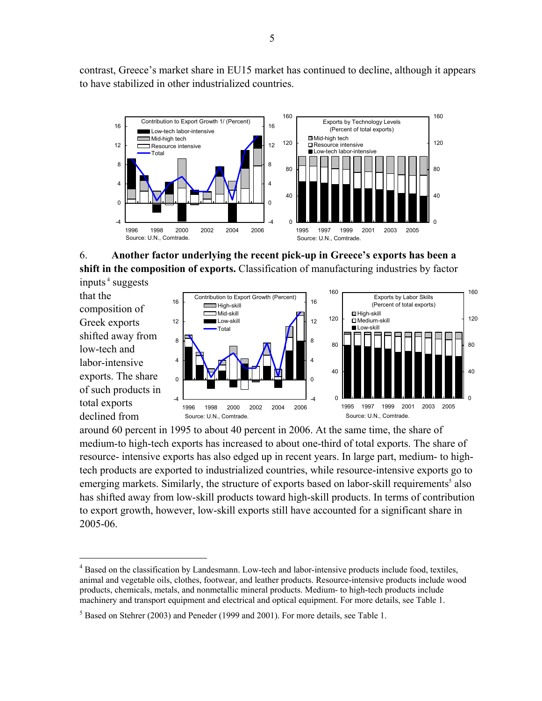contrast, Greece's market share in EU15 market has continued to decline, although it appears to have stabilized in other industrialized countries.



### 6. **Another factor underlying the recent pick-up in Greece's exports has been a shift in the composition of exports.** Classification of manufacturing industries by factor inputs $4$  suggests

that the composition of Greek exports shifted away from low-tech and labor-intensive exports. The share of such products in total exports declined from

 $\overline{a}$ 



around 60 percent in 1995 to about 40 percent in 2006. At the same time, the share of medium-to high-tech exports has increased to about one-third of total exports. The share of resource- intensive exports has also edged up in recent years. In large part, medium- to hightech products are exported to industrialized countries, while resource-intensive exports go to emerging markets. Similarly, the structure of exports based on labor-skill requirements<sup>5</sup> also has shifted away from low-skill products toward high-skill products. In terms of contribution to export growth, however, low-skill exports still have accounted for a significant share in 2005-06.

<sup>&</sup>lt;sup>4</sup> Based on the classification by Landesmann. Low-tech and labor-intensive products include food, textiles, animal and vegetable oils, clothes, footwear, and leather products. Resource-intensive products include wood products, chemicals, metals, and nonmetallic mineral products. Medium- to high-tech products include machinery and transport equipment and electrical and optical equipment. For more details, see Table 1.

 $<sup>5</sup>$  Based on Stehrer (2003) and Peneder (1999 and 2001). For more details, see Table 1.</sup>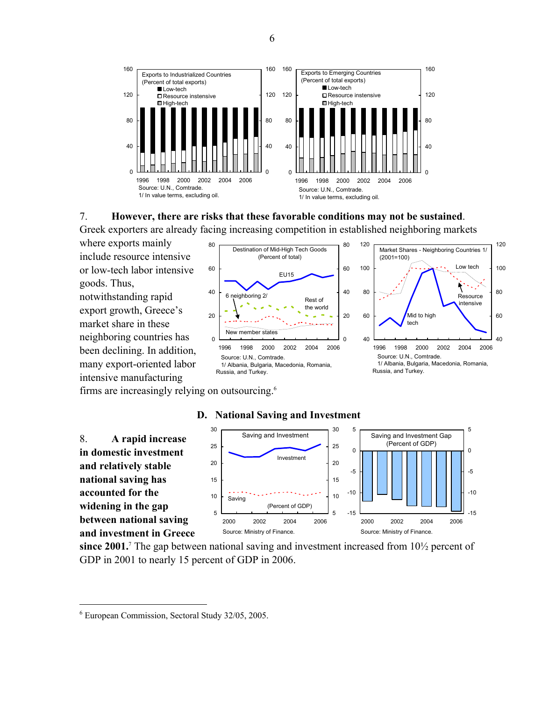

#### 7. **However, there are risks that these favorable conditions may not be sustained**.

Greek exporters are already facing increasing competition in established neighboring markets

where exports mainly include resource intensive or low-tech labor intensive goods. Thus, notwithstanding rapid export growth, Greece's market share in these neighboring countries has been declining. In addition, many export-oriented labor intensive manufacturing





firms are increasingly relying on outsourcing.6



#### **D. National Saving and Investment**

since 2001.<sup>7</sup> The gap between national saving and investment increased from 10<sup>1</sup>/<sub>2</sub> percent of GDP in 2001 to nearly 15 percent of GDP in 2006.

<sup>6</sup> European Commission, Sectoral Study 32/05, 2005.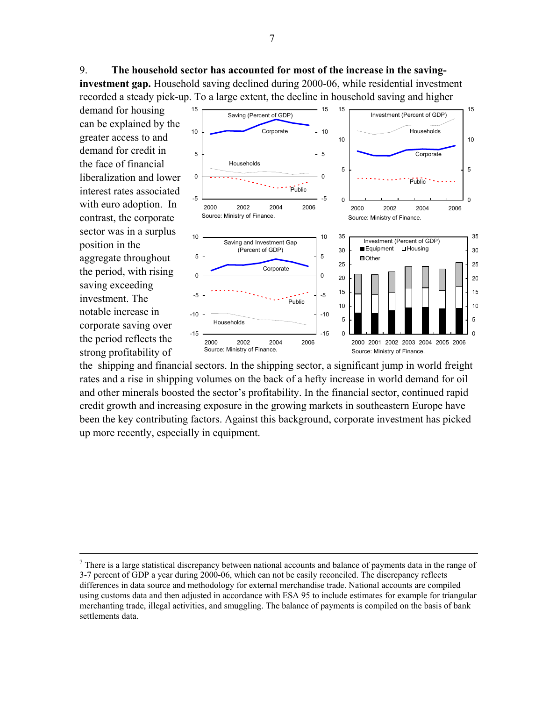9. **The household sector has accounted for most of the increase in the saving-**

**investment gap.** Household saving declined during 2000-06, while residential investment recorded a steady pick-up. To a large extent, the decline in household saving and higher

demand for housing can be explained by the greater access to and demand for credit in the face of financial liberalization and lower interest rates associated with euro adoption. In contrast, the corporate sector was in a surplus position in the aggregate throughout the period, with rising saving exceeding investment. The notable increase in corporate saving over the period reflects the strong profitability of



the shipping and financial sectors. In the shipping sector, a significant jump in world freight rates and a rise in shipping volumes on the back of a hefty increase in world demand for oil and other minerals boosted the sector's profitability. In the financial sector, continued rapid credit growth and increasing exposure in the growing markets in southeastern Europe have been the key contributing factors. Against this background, corporate investment has picked up more recently, especially in equipment.

 $\frac{1}{7}$  $\alpha$ <sup>7</sup> There is a large statistical discrepancy between national accounts and balance of payments data in the range of 3-7 percent of GDP a year during 2000-06, which can not be easily reconciled. The discrepancy reflects differences in data source and methodology for external merchandise trade. National accounts are compiled using customs data and then adjusted in accordance with ESA 95 to include estimates for example for triangular merchanting trade, illegal activities, and smuggling. The balance of payments is compiled on the basis of bank settlements data.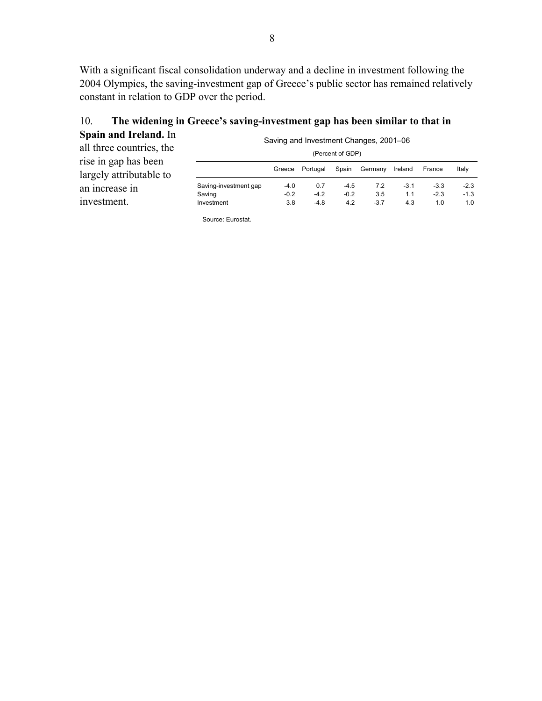With a significant fiscal consolidation underway and a decline in investment following the 2004 Olympics, the saving-investment gap of Greece's public sector has remained relatively constant in relation to GDP over the period.

| 10. |                       | The widening in Greece's saving-investment gap has been similar to that in |
|-----|-----------------------|----------------------------------------------------------------------------|
|     | Spain and Ireland. In | Coving and Investment Changes, 2001, 06                                    |

| орангана плана. ш                               | Saving and Investment Changes, 2001–06 |        |          |        |         |         |        |        |
|-------------------------------------------------|----------------------------------------|--------|----------|--------|---------|---------|--------|--------|
| all three countries, the                        | (Percent of GDP)                       |        |          |        |         |         |        |        |
| rise in gap has been<br>largely attributable to |                                        | Greece | Portugal | Spain  | Germany | Ireland | France | Italy  |
| an increase in                                  | Saving-investment gap                  | $-4.0$ | 0.7      | $-4.5$ | 7.2     | $-3.1$  | $-3.3$ | $-2.3$ |
| investment.                                     | Saving                                 | $-0.2$ | $-4.2$   | $-0.2$ | 3.5     | 1.1     | $-2.3$ | $-1.3$ |
|                                                 | Investment                             | 3.8    | $-4.8$   | 4.2    | $-3.7$  | 4.3     | 1.0    | 1.0    |

Source: Eurostat.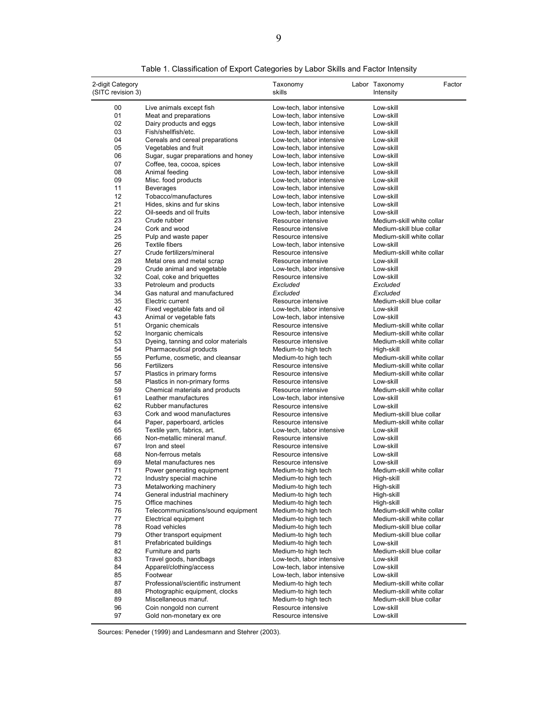| 2-digit Category  |                                     | Taxonomy                  | Labor Taxonomy            | Factor |
|-------------------|-------------------------------------|---------------------------|---------------------------|--------|
| (SITC revision 3) |                                     | skills                    | Intensity                 |        |
| 00                | Live animals except fish            | Low-tech, labor intensive | Low-skill                 |        |
| 01                | Meat and preparations               | Low-tech, labor intensive | Low-skill                 |        |
| 02                | Dairy products and eggs             | Low-tech, labor intensive | Low-skill                 |        |
| 03                | Fish/shellfish/etc.                 | Low-tech, labor intensive | Low-skill                 |        |
| 04                | Cereals and cereal preparations     | Low-tech, labor intensive | Low-skill                 |        |
| 05                | Vegetables and fruit                | Low-tech, labor intensive | Low-skill                 |        |
| 06                | Sugar, sugar preparations and honey | Low-tech, labor intensive | Low-skill                 |        |
| 07                | Coffee, tea, cocoa, spices          | Low-tech, labor intensive | Low-skill                 |        |
| 08                | Animal feeding                      | Low-tech, labor intensive | Low-skill                 |        |
| 09                | Misc. food products                 | Low-tech, labor intensive | Low-skill                 |        |
| 11                | <b>Beverages</b>                    | Low-tech, labor intensive | Low-skill                 |        |
| 12                | Tobacco/manufactures                | Low-tech, labor intensive | Low-skill                 |        |
| 21                | Hides, skins and fur skins          | Low-tech, labor intensive | Low-skill                 |        |
| 22                | Oil-seeds and oil fruits            | Low-tech, labor intensive | Low-skill                 |        |
| 23                | Crude rubber                        | Resource intensive        | Medium-skill white collar |        |
| 24                | Cork and wood                       | Resource intensive        | Medium-skill blue collar  |        |
| 25                | Pulp and waste paper                | Resource intensive        | Medium-skill white collar |        |
| 26                | Textile fibers                      | Low-tech, labor intensive | Low-skill                 |        |
| 27                | Crude fertilizers/mineral           | Resource intensive        | Medium-skill white collar |        |
| 28                | Metal ores and metal scrap          | Resource intensive        | Low-skill                 |        |
| 29                | Crude animal and vegetable          | Low-tech, labor intensive | Low-skill                 |        |
| 32                | Coal, coke and briquettes           | Resource intensive        | Low-skill                 |        |
| 33                | Petroleum and products              | Excluded                  | Excluded                  |        |
| 34                | Gas natural and manufactured        | Excluded                  | Excluded                  |        |
| 35                | Electric current                    | Resource intensive        | Medium-skill blue collar  |        |
| 42                | Fixed vegetable fats and oil        | Low-tech, labor intensive | Low-skill                 |        |
| 43                | Animal or vegetable fats            | Low-tech, labor intensive | Low-skill                 |        |
| 51                | Organic chemicals                   | Resource intensive        | Medium-skill white collar |        |
| 52                | Inorganic chemicals                 | Resource intensive        | Medium-skill white collar |        |
| 53                | Dyeing, tanning and color materials | Resource intensive        | Medium-skill white collar |        |
| 54                | Pharmaceutical products             | Medium-to high tech       | High-skill                |        |
| 55                | Perfume, cosmetic, and cleansar     | Medium-to high tech       | Medium-skill white collar |        |
| 56                | Fertilizers                         | Resource intensive        | Medium-skill white collar |        |
| 57                | Plastics in primary forms           | Resource intensive        | Medium-skill white collar |        |
| 58                | Plastics in non-primary forms       | Resource intensive        | Low-skill                 |        |
| 59                | Chemical materials and products     | Resource intensive        | Medium-skill white collar |        |
| 61                | Leather manufactures                | Low-tech, labor intensive | Low-skill                 |        |
| 62                | Rubber manufactures                 | Resource intensive        | Low-skill                 |        |
| 63                | Cork and wood manufactures          | Resource intensive        | Medium-skill blue collar  |        |
| 64                | Paper, paperboard, articles         | Resource intensive        | Medium-skill white collar |        |
| 65                | Textile yarn, fabrics, art.         | Low-tech, labor intensive | Low-skill                 |        |
| 66                | Non-metallic mineral manuf.         | Resource intensive        | Low-skill                 |        |
| 67                | Iron and steel                      | Resource intensive        | Low-skill                 |        |
| 68                | Non-ferrous metals                  | Resource intensive        | Low-skill                 |        |
| 69                | Metal manufactures nes              | Resource intensive        | Low-skill                 |        |
| 71                | Power generating equipment          | Medium-to high tech       | Medium-skill white collar |        |
| 72                | Industry special machine            | Medium-to high tech       | High-skill                |        |
| 73                | Metalworking machinery              | Medium-to high tech       | High-skill                |        |
| 74                | General industrial machinery        | Medium-to high tech       | High-skill                |        |
| 75                | Office machines                     | Medium-to high tech       | High-skill                |        |
| 76                | Telecommunications/sound equipment  | Medium-to high tech       | Medium-skill white collar |        |
| 77                | Electrical equipment                | Medium-to high tech       | Medium-skill white collar |        |
| 78                | Road vehicles                       | Medium-to high tech       | Medium-skill blue collar  |        |
| 79                | Other transport equipment           | Medium-to high tech       | Medium-skill blue collar  |        |
| 81                | Prefabricated buildings             | Medium-to high tech       | Low-skill                 |        |
| 82                | Furniture and parts                 | Medium-to high tech       | Medium-skill blue collar  |        |
| 83                | Travel goods, handbags              | Low-tech, labor intensive | Low-skill                 |        |
| 84                | Apparel/clothing/access             | Low-tech, labor intensive | Low-skill                 |        |
| 85                | Footwear                            | Low-tech, labor intensive | Low-skill                 |        |
| 87                | Professional/scientific instrument  | Medium-to high tech       | Medium-skill white collar |        |
| 88                | Photographic equipment, clocks      | Medium-to high tech       | Medium-skill white collar |        |
| 89                | Miscellaneous manuf.                | Medium-to high tech       | Medium-skill blue collar  |        |
| 96                | Coin nongold non current            | Resource intensive        | Low-skill                 |        |
| 97                | Gold non-monetary ex ore            | Resource intensive        | Low-skill                 |        |
|                   |                                     |                           |                           |        |

Table 1. Classification of Export Categories by Labor Skills and Factor Intensity

Sources: Peneder (1999) and Landesmann and Stehrer (2003).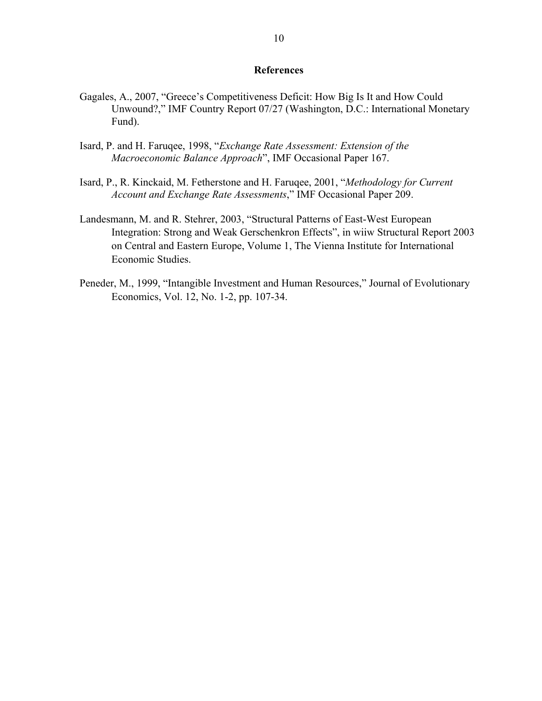#### **References**

- Gagales, A., 2007, "Greece's Competitiveness Deficit: How Big Is It and How Could Unwound?," IMF Country Report 07/27 (Washington, D.C.: International Monetary Fund).
- Isard, P. and H. Faruqee, 1998, "*Exchange Rate Assessment: Extension of the Macroeconomic Balance Approach*", IMF Occasional Paper 167.
- Isard, P., R. Kinckaid, M. Fetherstone and H. Faruqee, 2001, "*Methodology for Current Account and Exchange Rate Assessments*," IMF Occasional Paper 209.
- Landesmann, M. and R. Stehrer, 2003, "Structural Patterns of East-West European Integration: Strong and Weak Gerschenkron Effects", in wiiw Structural Report 2003 on Central and Eastern Europe, Volume 1, The Vienna Institute for International Economic Studies.
- Peneder, M., 1999, "Intangible Investment and Human Resources," Journal of Evolutionary Economics, Vol. 12, No. 1-2, pp. 107-34.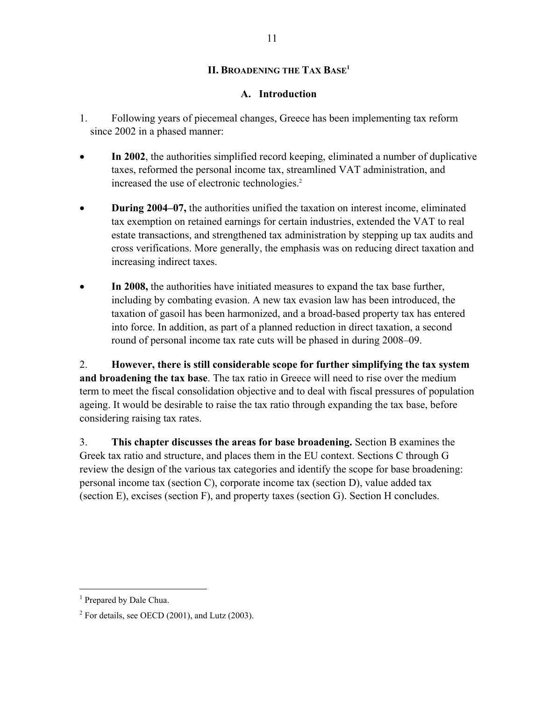### **II. BROADENING THE TAX BASE1**

### **A. Introduction**

- 1. Following years of piecemeal changes, Greece has been implementing tax reform since 2002 in a phased manner:
- **In 2002**, the authorities simplified record keeping, eliminated a number of duplicative taxes, reformed the personal income tax, streamlined VAT administration, and increased the use of electronic technologies.<sup>2</sup>
- **During 2004–07,** the authorities unified the taxation on interest income, eliminated tax exemption on retained earnings for certain industries, extended the VAT to real estate transactions, and strengthened tax administration by stepping up tax audits and cross verifications. More generally, the emphasis was on reducing direct taxation and increasing indirect taxes.
- **In 2008,** the authorities have initiated measures to expand the tax base further, including by combating evasion. A new tax evasion law has been introduced, the taxation of gasoil has been harmonized, and a broad-based property tax has entered into force. In addition, as part of a planned reduction in direct taxation, a second round of personal income tax rate cuts will be phased in during 2008–09.

2. **However, there is still considerable scope for further simplifying the tax system and broadening the tax base**. The tax ratio in Greece will need to rise over the medium term to meet the fiscal consolidation objective and to deal with fiscal pressures of population ageing. It would be desirable to raise the tax ratio through expanding the tax base, before considering raising tax rates.

3. **This chapter discusses the areas for base broadening.** Section B examines the Greek tax ratio and structure, and places them in the EU context. Sections C through G review the design of the various tax categories and identify the scope for base broadening: personal income tax (section C), corporate income tax (section D), value added tax (section E), excises (section F), and property taxes (section G). Section H concludes.

<sup>&</sup>lt;sup>1</sup> Prepared by Dale Chua.

 $2^2$  For details, see OECD (2001), and Lutz (2003).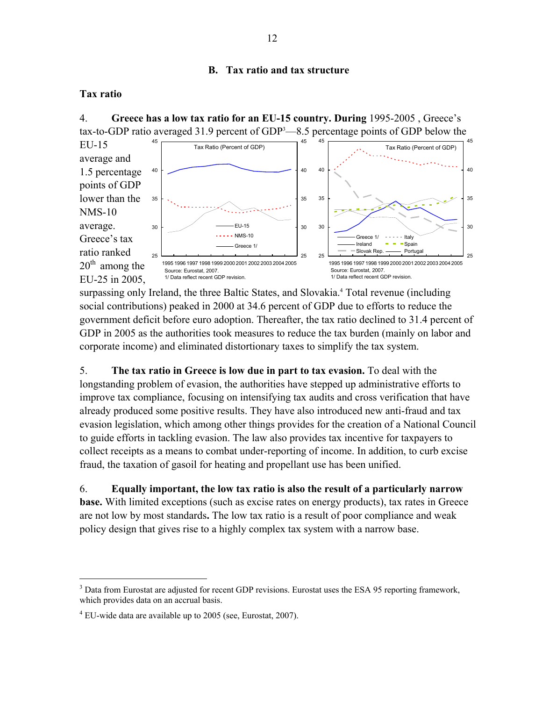### **B. Tax ratio and tax structure**

### **Tax ratio**

4. **Greece has a low tax ratio for an EU-15 country. During** 1995-2005 , Greece's tax-to-GDP ratio averaged 31.9 percent of  $GDP<sup>3</sup>$ —8.5 percentage points of GDP below the

Source: Eurostat, 2007. 1/ Data reflect recent GDP revision. Tax Ratio (Percent of GDP) 25 30 35 40 45 1995 1996 1997 1998 1999 2000 2001 2002 2003 2004 2005 25 30 35 40 45 EU-15  $- - NMS-10$ Greece 1/ Tax Ratio (Percent of GDP) 25 30 35 40 45 1995 1996 1997 1998 1999 2000 2001 2002 2003 2004 2005 25 30 35 40 45 Greece 1/ - - - - - Italy  $I$ reland  $-I$  Spain Slovak Rep. - Portugal Source: Eurostat, 2007. 1/ Data reflect recent GDP revision. EU-15 average and 1.5 percentage points of GDP lower than the NMS-10 average. Greece's tax ratio ranked  $20<sup>th</sup>$  among the EU-25 in 2005,

surpassing only Ireland, the three Baltic States, and Slovakia.<sup>4</sup> Total revenue (including social contributions) peaked in 2000 at 34.6 percent of GDP due to efforts to reduce the government deficit before euro adoption. Thereafter, the tax ratio declined to 31.4 percent of GDP in 2005 as the authorities took measures to reduce the tax burden (mainly on labor and corporate income) and eliminated distortionary taxes to simplify the tax system.

5. **The tax ratio in Greece is low due in part to tax evasion.** To deal with the longstanding problem of evasion, the authorities have stepped up administrative efforts to improve tax compliance, focusing on intensifying tax audits and cross verification that have already produced some positive results. They have also introduced new anti-fraud and tax evasion legislation, which among other things provides for the creation of a National Council to guide efforts in tackling evasion. The law also provides tax incentive for taxpayers to collect receipts as a means to combat under-reporting of income. In addition, to curb excise fraud, the taxation of gasoil for heating and propellant use has been unified.

6. **Equally important, the low tax ratio is also the result of a particularly narrow base.** With limited exceptions (such as excise rates on energy products), tax rates in Greece are not low by most standards**.** The low tax ratio is a result of poor compliance and weak policy design that gives rise to a highly complex tax system with a narrow base.

 $3$  Data from Eurostat are adjusted for recent GDP revisions. Eurostat uses the ESA 95 reporting framework, which provides data on an accrual basis.

 $4$  EU-wide data are available up to 2005 (see, Eurostat, 2007).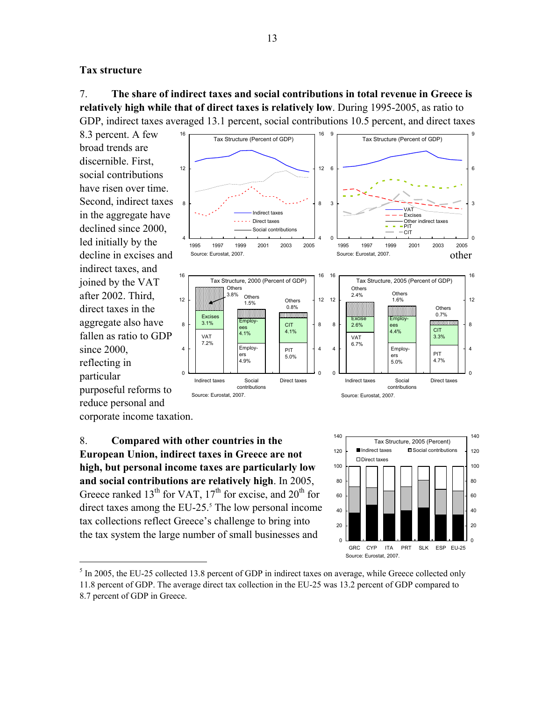#### **Tax structure**

7. **The share of indirect taxes and social contributions in total revenue in Greece is relatively high while that of direct taxes is relatively low**. During 1995-2005, as ratio to GDP, indirect taxes averaged 13.1 percent, social contributions 10.5 percent, and direct taxes

8.3 percent. A few broad trends are discernible. First, social contributions have risen over time. Second, indirect taxes in the aggregate have declined since 2000, led initially by the indirect taxes, and joined by the VAT after 2002. Third, direct taxes in the aggregate also have fallen as ratio to GDP since 2000, reflecting in particular purposeful reforms to reduce personal and



corporate income taxation.

 $\overline{a}$ 

8. **Compared with other countries in the European Union, indirect taxes in Greece are not high, but personal income taxes are particularly low and social contributions are relatively high**. In 2005, Greece ranked  $13<sup>th</sup>$  for VAT,  $17<sup>th</sup>$  for excise, and  $20<sup>th</sup>$  for direct taxes among the EU-25. $<sup>5</sup>$  The low personal income</sup> tax collections reflect Greece's challenge to bring into the tax system the large number of small businesses and



<sup>&</sup>lt;sup>5</sup> In 2005, the EU-25 collected 13.8 percent of GDP in indirect taxes on average, while Greece collected only 11.8 percent of GDP. The average direct tax collection in the EU-25 was 13.2 percent of GDP compared to 8.7 percent of GDP in Greece.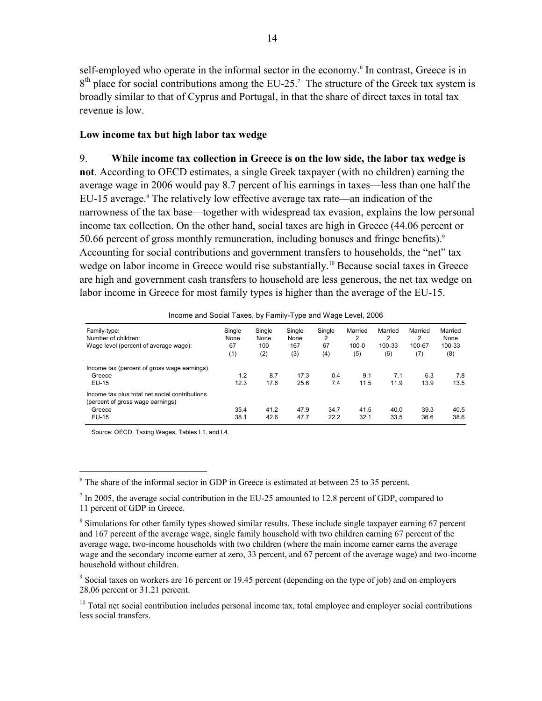self-employed who operate in the informal sector in the economy.<sup>6</sup> In contrast, Greece is in  $8<sup>th</sup>$  place for social contributions among the EU-25.<sup>7</sup> The structure of the Greek tax system is broadly similar to that of Cyprus and Portugal, in that the share of direct taxes in total tax revenue is low.

#### **Low income tax but high labor tax wedge**

9. **While income tax collection in Greece is on the low side, the labor tax wedge is not**. According to OECD estimates, a single Greek taxpayer (with no children) earning the average wage in 2006 would pay 8.7 percent of his earnings in taxes—less than one half the EU-15 average.<sup>8</sup> The relatively low effective average tax rate—an indication of the narrowness of the tax base—together with widespread tax evasion, explains the low personal income tax collection. On the other hand, social taxes are high in Greece (44.06 percent or 50.66 percent of gross monthly remuneration, including bonuses and fringe benefits).<sup>9</sup> Accounting for social contributions and government transfers to households, the "net" tax wedge on labor income in Greece would rise substantially.<sup>10</sup> Because social taxes in Greece are high and government cash transfers to household are less generous, the net tax wedge on labor income in Greece for most family types is higher than the average of the EU-15.

| Family-type:<br>Number of children:<br>Wage level (percent of average wage):       | Single<br>None<br>67<br>(1) | Single<br>None<br>100<br>(2) | Single<br>None<br>167<br>(3) | Single<br>2<br>67<br>(4) | Married<br>2<br>$100 - 0$<br>(5) | Married<br>2<br>100-33<br>(6) | Married<br>2<br>100-67<br>(7) | Married<br>None<br>100-33<br>(8) |
|------------------------------------------------------------------------------------|-----------------------------|------------------------------|------------------------------|--------------------------|----------------------------------|-------------------------------|-------------------------------|----------------------------------|
| Income tax (percent of gross wage earnings)                                        |                             |                              |                              |                          |                                  |                               |                               |                                  |
| Greece                                                                             | 1.2                         | 8.7                          | 17.3                         | 0.4                      | 9.1                              | 7.1                           | 6.3                           | 7.8                              |
| EU-15                                                                              | 12.3                        | 17.6                         | 25.6                         | 7.4                      | 11.5                             | 11.9                          | 13.9                          | 13.5                             |
| Income tax plus total net social contributions<br>(percent of gross wage earnings) |                             |                              |                              |                          |                                  |                               |                               |                                  |
| Greece                                                                             | 35.4                        | 41.2                         | 47.9                         | 34.7                     | 41.5                             | 40.0                          | 39.3                          | 40.5                             |
| EU-15                                                                              | 38.1                        | 42.6                         | 47.7                         | 22.2                     | 32.1                             | 33.5                          | 36.6                          | 38.6                             |

Income and Social Taxes, by Family-Type and Wage Level, 2006

Source: OECD, Taxing Wages, Tables I.1. and I.4.

 $6$  The share of the informal sector in GDP in Greece is estimated at between 25 to 35 percent.

 $<sup>7</sup>$  In 2005, the average social contribution in the EU-25 amounted to 12.8 percent of GDP, compared to</sup> 11 percent of GDP in Greece.

<sup>&</sup>lt;sup>8</sup> Simulations for other family types showed similar results. These include single taxpayer earning 67 percent and 167 percent of the average wage, single family household with two children earning 67 percent of the average wage, two-income households with two children (where the main income earner earns the average wage and the secondary income earner at zero, 33 percent, and 67 percent of the average wage) and two-income household without children.

<sup>&</sup>lt;sup>9</sup> Social taxes on workers are 16 percent or 19.45 percent (depending on the type of job) and on employers 28.06 percent or 31.21 percent.

<sup>&</sup>lt;sup>10</sup> Total net social contribution includes personal income tax, total employee and employer social contributions less social transfers.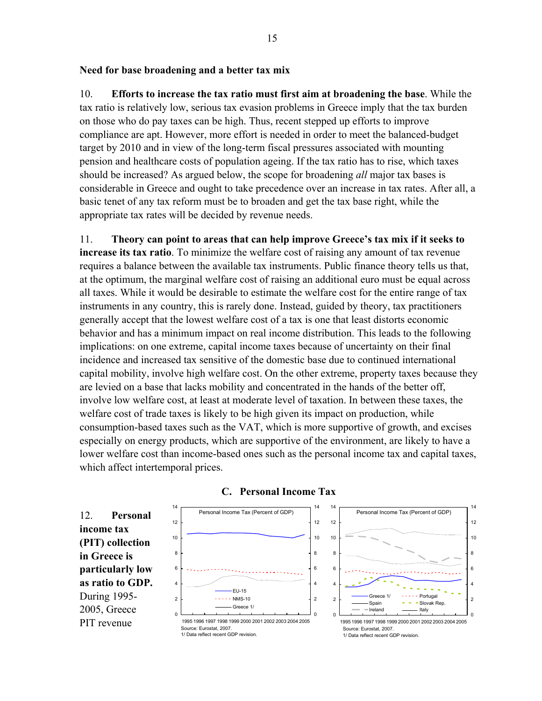#### **Need for base broadening and a better tax mix**

10. **Efforts to increase the tax ratio must first aim at broadening the base**. While the tax ratio is relatively low, serious tax evasion problems in Greece imply that the tax burden on those who do pay taxes can be high. Thus, recent stepped up efforts to improve compliance are apt. However, more effort is needed in order to meet the balanced-budget target by 2010 and in view of the long-term fiscal pressures associated with mounting pension and healthcare costs of population ageing. If the tax ratio has to rise, which taxes should be increased? As argued below, the scope for broadening *all* major tax bases is considerable in Greece and ought to take precedence over an increase in tax rates. After all, a basic tenet of any tax reform must be to broaden and get the tax base right, while the appropriate tax rates will be decided by revenue needs.

11. **Theory can point to areas that can help improve Greece's tax mix if it seeks to increase its tax ratio**. To minimize the welfare cost of raising any amount of tax revenue requires a balance between the available tax instruments. Public finance theory tells us that, at the optimum, the marginal welfare cost of raising an additional euro must be equal across all taxes. While it would be desirable to estimate the welfare cost for the entire range of tax instruments in any country, this is rarely done. Instead, guided by theory, tax practitioners generally accept that the lowest welfare cost of a tax is one that least distorts economic behavior and has a minimum impact on real income distribution. This leads to the following implications: on one extreme, capital income taxes because of uncertainty on their final incidence and increased tax sensitive of the domestic base due to continued international capital mobility, involve high welfare cost. On the other extreme, property taxes because they are levied on a base that lacks mobility and concentrated in the hands of the better off, involve low welfare cost, at least at moderate level of taxation. In between these taxes, the welfare cost of trade taxes is likely to be high given its impact on production, while consumption-based taxes such as the VAT, which is more supportive of growth, and excises especially on energy products, which are supportive of the environment, are likely to have a lower welfare cost than income-based ones such as the personal income tax and capital taxes, which affect intertemporal prices.

Personal Income Tax (Percent of GDP)  $\overline{0}$ 2 4 6 8 10 12 14 1995 1996 1997 1998 1999 2000 2001 2002 2003 2004 2005  $\Omega$ 2 4 6 8 10 12 14 EU-15 - NMS-10 Greece 1/ Personal Income Tax (Percent of GDP) 0 2 4 6 8 10 12 14 1995 1996 1997 1998 1999 2000 2001 2002 2003 2004 2005 0 2 4 6 8 10 12 14 Greece 1/ Portugal<br>Spain **P P** Blovak R  $Slovak Rep$ Ireland Italy Source: Eurostat, 2007. 1/ Data reflect recent GDP revision. Source: Eurostat, 2007. 1/ Data reflect recent GDP revision. 12. **Personal income tax (PIT) collection in Greece is particularly low as ratio to GDP.**  During 1995- 2005, Greece PIT revenue

#### **C. Personal Income Tax**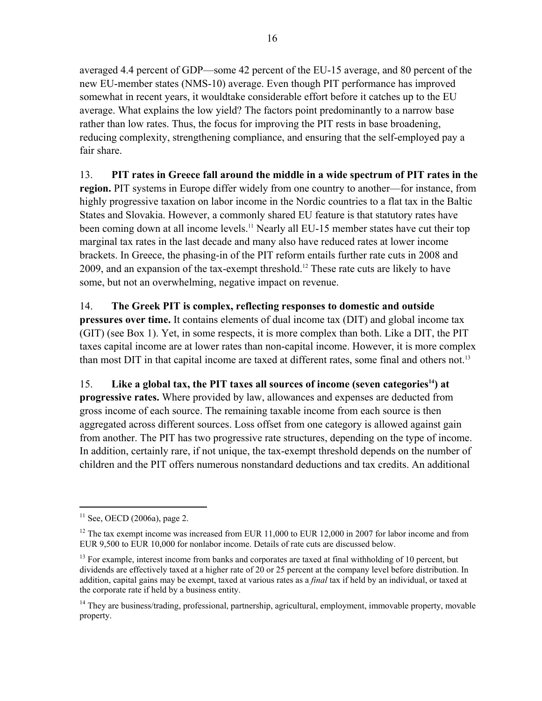averaged 4.4 percent of GDP—some 42 percent of the EU-15 average, and 80 percent of the new EU-member states (NMS-10) average. Even though PIT performance has improved somewhat in recent years, it wouldtake considerable effort before it catches up to the EU average. What explains the low yield? The factors point predominantly to a narrow base rather than low rates. Thus, the focus for improving the PIT rests in base broadening, reducing complexity, strengthening compliance, and ensuring that the self-employed pay a fair share.

13. **PIT rates in Greece fall around the middle in a wide spectrum of PIT rates in the region.** PIT systems in Europe differ widely from one country to another—for instance, from highly progressive taxation on labor income in the Nordic countries to a flat tax in the Baltic States and Slovakia. However, a commonly shared EU feature is that statutory rates have been coming down at all income levels.<sup>11</sup> Nearly all EU-15 member states have cut their top marginal tax rates in the last decade and many also have reduced rates at lower income brackets. In Greece, the phasing-in of the PIT reform entails further rate cuts in 2008 and 2009, and an expansion of the tax-exempt threshold.12 These rate cuts are likely to have some, but not an overwhelming, negative impact on revenue.

14. **The Greek PIT is complex, reflecting responses to domestic and outside pressures over time.** It contains elements of dual income tax (DIT) and global income tax (GIT) (see Box 1). Yet, in some respects, it is more complex than both. Like a DIT, the PIT taxes capital income are at lower rates than non-capital income. However, it is more complex than most DIT in that capital income are taxed at different rates, some final and others not.<sup>13</sup>

15. **Like a global tax, the PIT taxes all sources of income (seven categories14) at progressive rates.** Where provided by law, allowances and expenses are deducted from gross income of each source. The remaining taxable income from each source is then aggregated across different sources. Loss offset from one category is allowed against gain from another. The PIT has two progressive rate structures, depending on the type of income. In addition, certainly rare, if not unique, the tax-exempt threshold depends on the number of children and the PIT offers numerous nonstandard deductions and tax credits. An additional

1

 $11$  See, OECD (2006a), page 2.

 $12$  The tax exempt income was increased from EUR 11,000 to EUR 12,000 in 2007 for labor income and from EUR 9,500 to EUR 10,000 for nonlabor income. Details of rate cuts are discussed below.

 $<sup>13</sup>$  For example, interest income from banks and corporates are taxed at final withholding of 10 percent, but</sup> dividends are effectively taxed at a higher rate of 20 or 25 percent at the company level before distribution. In addition, capital gains may be exempt, taxed at various rates as a *final* tax if held by an individual, or taxed at the corporate rate if held by a business entity.

<sup>&</sup>lt;sup>14</sup> They are business/trading, professional, partnership, agricultural, employment, immovable property, movable property.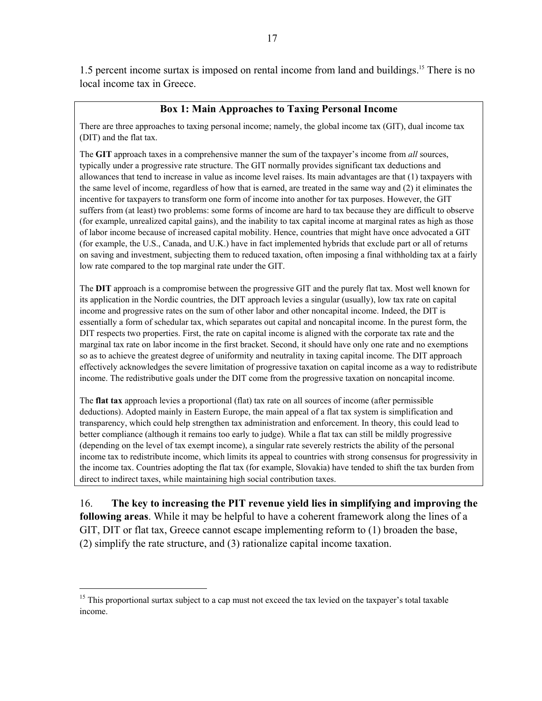1.5 percent income surtax is imposed on rental income from land and buildings.15 There is no local income tax in Greece.

#### **Box 1: Main Approaches to Taxing Personal Income**

There are three approaches to taxing personal income; namely, the global income tax (GIT), dual income tax (DIT) and the flat tax.

The **GIT** approach taxes in a comprehensive manner the sum of the taxpayer's income from *all* sources, typically under a progressive rate structure. The GIT normally provides significant tax deductions and allowances that tend to increase in value as income level raises. Its main advantages are that (1) taxpayers with the same level of income, regardless of how that is earned, are treated in the same way and (2) it eliminates the incentive for taxpayers to transform one form of income into another for tax purposes. However, the GIT suffers from (at least) two problems: some forms of income are hard to tax because they are difficult to observe (for example, unrealized capital gains), and the inability to tax capital income at marginal rates as high as those of labor income because of increased capital mobility. Hence, countries that might have once advocated a GIT (for example, the U.S., Canada, and U.K.) have in fact implemented hybrids that exclude part or all of returns on saving and investment, subjecting them to reduced taxation, often imposing a final withholding tax at a fairly low rate compared to the top marginal rate under the GIT.

The **DIT** approach is a compromise between the progressive GIT and the purely flat tax. Most well known for its application in the Nordic countries, the DIT approach levies a singular (usually), low tax rate on capital income and progressive rates on the sum of other labor and other noncapital income. Indeed, the DIT is essentially a form of schedular tax, which separates out capital and noncapital income. In the purest form, the DIT respects two properties. First, the rate on capital income is aligned with the corporate tax rate and the marginal tax rate on labor income in the first bracket. Second, it should have only one rate and no exemptions so as to achieve the greatest degree of uniformity and neutrality in taxing capital income. The DIT approach effectively acknowledges the severe limitation of progressive taxation on capital income as a way to redistribute income. The redistributive goals under the DIT come from the progressive taxation on noncapital income.

The **flat tax** approach levies a proportional (flat) tax rate on all sources of income (after permissible deductions). Adopted mainly in Eastern Europe, the main appeal of a flat tax system is simplification and transparency, which could help strengthen tax administration and enforcement. In theory, this could lead to better compliance (although it remains too early to judge). While a flat tax can still be mildly progressive (depending on the level of tax exempt income), a singular rate severely restricts the ability of the personal income tax to redistribute income, which limits its appeal to countries with strong consensus for progressivity in the income tax. Countries adopting the flat tax (for example, Slovakia) have tended to shift the tax burden from direct to indirect taxes, while maintaining high social contribution taxes.

16. **The key to increasing the PIT revenue yield lies in simplifying and improving the following areas**. While it may be helpful to have a coherent framework along the lines of a GIT, DIT or flat tax, Greece cannot escape implementing reform to (1) broaden the base, (2) simplify the rate structure, and (3) rationalize capital income taxation.

 $15$  This proportional surtax subject to a cap must not exceed the tax levied on the taxpayer's total taxable income.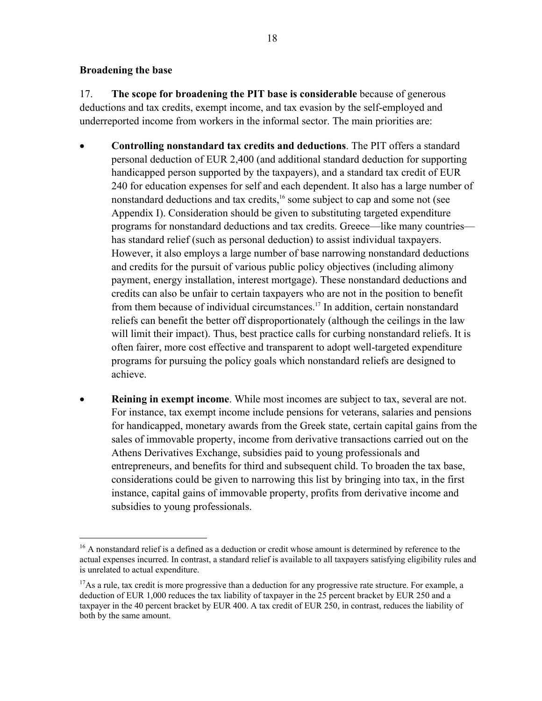#### **Broadening the base**

 $\overline{a}$ 

17. **The scope for broadening the PIT base is considerable** because of generous deductions and tax credits, exempt income, and tax evasion by the self-employed and underreported income from workers in the informal sector. The main priorities are:

- **Controlling nonstandard tax credits and deductions**. The PIT offers a standard personal deduction of EUR 2,400 (and additional standard deduction for supporting handicapped person supported by the taxpayers), and a standard tax credit of EUR 240 for education expenses for self and each dependent. It also has a large number of nonstandard deductions and tax credits,<sup>16</sup> some subject to cap and some not (see Appendix I). Consideration should be given to substituting targeted expenditure programs for nonstandard deductions and tax credits. Greece—like many countries has standard relief (such as personal deduction) to assist individual taxpayers. However, it also employs a large number of base narrowing nonstandard deductions and credits for the pursuit of various public policy objectives (including alimony payment, energy installation, interest mortgage). These nonstandard deductions and credits can also be unfair to certain taxpayers who are not in the position to benefit from them because of individual circumstances.17 In addition, certain nonstandard reliefs can benefit the better off disproportionately (although the ceilings in the law will limit their impact). Thus, best practice calls for curbing nonstandard reliefs. It is often fairer, more cost effective and transparent to adopt well-targeted expenditure programs for pursuing the policy goals which nonstandard reliefs are designed to achieve.
- **Reining in exempt income**. While most incomes are subject to tax, several are not. For instance, tax exempt income include pensions for veterans, salaries and pensions for handicapped, monetary awards from the Greek state, certain capital gains from the sales of immovable property, income from derivative transactions carried out on the Athens Derivatives Exchange, subsidies paid to young professionals and entrepreneurs, and benefits for third and subsequent child. To broaden the tax base, considerations could be given to narrowing this list by bringing into tax, in the first instance, capital gains of immovable property, profits from derivative income and subsidies to young professionals.

<sup>&</sup>lt;sup>16</sup> A nonstandard relief is a defined as a deduction or credit whose amount is determined by reference to the actual expenses incurred. In contrast, a standard relief is available to all taxpayers satisfying eligibility rules and is unrelated to actual expenditure.

<sup>&</sup>lt;sup>17</sup>As a rule, tax credit is more progressive than a deduction for any progressive rate structure. For example, a deduction of EUR 1,000 reduces the tax liability of taxpayer in the 25 percent bracket by EUR 250 and a taxpayer in the 40 percent bracket by EUR 400. A tax credit of EUR 250, in contrast, reduces the liability of both by the same amount.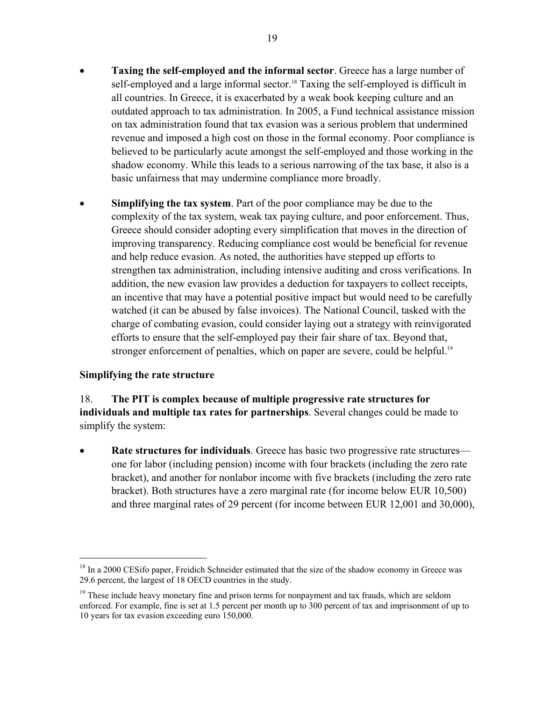- **Taxing the self-employed and the informal sector**. Greece has a large number of self-employed and a large informal sector.<sup>18</sup> Taxing the self-employed is difficult in all countries. In Greece, it is exacerbated by a weak book keeping culture and an outdated approach to tax administration. In 2005, a Fund technical assistance mission on tax administration found that tax evasion was a serious problem that undermined revenue and imposed a high cost on those in the formal economy. Poor compliance is believed to be particularly acute amongst the self-employed and those working in the shadow economy. While this leads to a serious narrowing of the tax base, it also is a basic unfairness that may undermine compliance more broadly.
- **Simplifying the tax system**. Part of the poor compliance may be due to the complexity of the tax system, weak tax paying culture, and poor enforcement. Thus, Greece should consider adopting every simplification that moves in the direction of improving transparency. Reducing compliance cost would be beneficial for revenue and help reduce evasion. As noted, the authorities have stepped up efforts to strengthen tax administration, including intensive auditing and cross verifications. In addition, the new evasion law provides a deduction for taxpayers to collect receipts, an incentive that may have a potential positive impact but would need to be carefully watched (it can be abused by false invoices). The National Council, tasked with the charge of combating evasion, could consider laying out a strategy with reinvigorated efforts to ensure that the self-employed pay their fair share of tax. Beyond that, stronger enforcement of penalties, which on paper are severe, could be helpful.<sup>19</sup>

### **Simplifying the rate structure**

<u>.</u>

18. **The PIT is complex because of multiple progressive rate structures for individuals and multiple tax rates for partnerships**. Several changes could be made to simplify the system:

**Rate structures for individuals**. Greece has basic two progressive rate structures one for labor (including pension) income with four brackets (including the zero rate bracket), and another for nonlabor income with five brackets (including the zero rate bracket). Both structures have a zero marginal rate (for income below EUR 10,500) and three marginal rates of 29 percent (for income between EUR 12,001 and 30,000),

<sup>&</sup>lt;sup>18</sup> In a 2000 CESifo paper, Freidich Schneider estimated that the size of the shadow economy in Greece was 29.6 percent, the largest of 18 OECD countries in the study.

 $19$  These include heavy monetary fine and prison terms for nonpayment and tax frauds, which are seldom enforced. For example, fine is set at 1.5 percent per month up to 300 percent of tax and imprisonment of up to 10 years for tax evasion exceeding euro 150,000.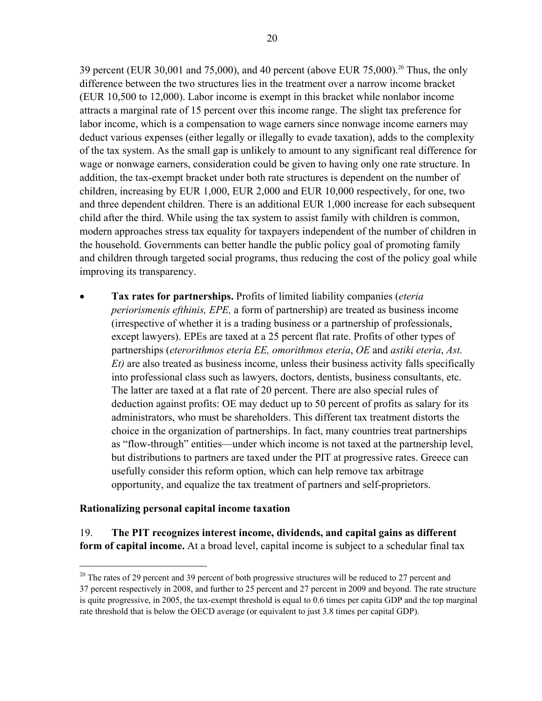39 percent (EUR 30,001 and 75,000), and 40 percent (above EUR 75,000).<sup>20</sup> Thus, the only difference between the two structures lies in the treatment over a narrow income bracket (EUR 10,500 to 12,000). Labor income is exempt in this bracket while nonlabor income attracts a marginal rate of 15 percent over this income range. The slight tax preference for labor income, which is a compensation to wage earners since nonwage income earners may deduct various expenses (either legally or illegally to evade taxation), adds to the complexity of the tax system. As the small gap is unlikely to amount to any significant real difference for wage or nonwage earners, consideration could be given to having only one rate structure. In addition, the tax-exempt bracket under both rate structures is dependent on the number of children, increasing by EUR 1,000, EUR 2,000 and EUR 10,000 respectively, for one, two and three dependent children. There is an additional EUR 1,000 increase for each subsequent child after the third. While using the tax system to assist family with children is common, modern approaches stress tax equality for taxpayers independent of the number of children in the household. Governments can better handle the public policy goal of promoting family and children through targeted social programs, thus reducing the cost of the policy goal while improving its transparency.

• **Tax rates for partnerships.** Profits of limited liability companies (*eteria periorismenis efthinis, EPE,* a form of partnership) are treated as business income (irrespective of whether it is a trading business or a partnership of professionals, except lawyers). EPEs are taxed at a 25 percent flat rate. Profits of other types of partnerships (*eterorithmos eteria EE, omorithmos eteria*, *OE* and *astiki eteria*, *Ast. Et)* are also treated as business income, unless their business activity falls specifically into professional class such as lawyers, doctors, dentists, business consultants, etc. The latter are taxed at a flat rate of 20 percent. There are also special rules of deduction against profits: OE may deduct up to 50 percent of profits as salary for its administrators, who must be shareholders. This different tax treatment distorts the choice in the organization of partnerships. In fact, many countries treat partnerships as "flow-through" entities—under which income is not taxed at the partnership level, but distributions to partners are taxed under the PIT at progressive rates. Greece can usefully consider this reform option, which can help remove tax arbitrage opportunity, and equalize the tax treatment of partners and self-proprietors.

#### **Rationalizing personal capital income taxation**

 $\overline{a}$ 

19. **The PIT recognizes interest income, dividends, and capital gains as different form of capital income.** At a broad level, capital income is subject to a schedular final tax

 $20$  The rates of 29 percent and 39 percent of both progressive structures will be reduced to 27 percent and 37 percent respectively in 2008, and further to 25 percent and 27 percent in 2009 and beyond. The rate structure is quite progressive, in 2005, the tax-exempt threshold is equal to 0.6 times per capita GDP and the top marginal rate threshold that is below the OECD average (or equivalent to just 3.8 times per capital GDP).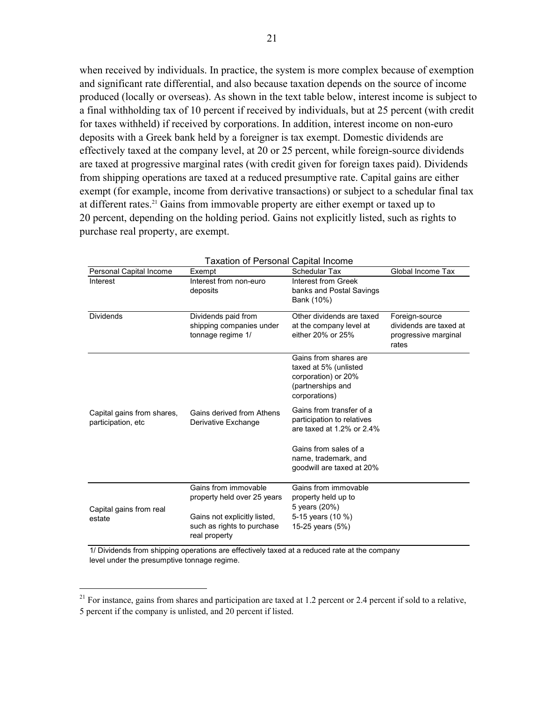when received by individuals. In practice, the system is more complex because of exemption and significant rate differential, and also because taxation depends on the source of income produced (locally or overseas). As shown in the text table below, interest income is subject to a final withholding tax of 10 percent if received by individuals, but at 25 percent (with credit for taxes withheld) if received by corporations. In addition, interest income on non-euro deposits with a Greek bank held by a foreigner is tax exempt. Domestic dividends are effectively taxed at the company level, at 20 or 25 percent, while foreign-source dividends are taxed at progressive marginal rates (with credit given for foreign taxes paid). Dividends from shipping operations are taxed at a reduced presumptive rate. Capital gains are either exempt (for example, income from derivative transactions) or subject to a schedular final tax at different rates.<sup>21</sup> Gains from immovable property are either exempt or taxed up to 20 percent, depending on the holding period. Gains not explicitly listed, such as rights to purchase real property, are exempt.

|                                                   | Taxalion of Fersonal Capital Income                                         |                                                                                                             |                                                                           |
|---------------------------------------------------|-----------------------------------------------------------------------------|-------------------------------------------------------------------------------------------------------------|---------------------------------------------------------------------------|
| Personal Capital Income                           | Exempt                                                                      | Schedular Tax                                                                                               | Global Income Tax                                                         |
| Interest                                          | Interest from non-euro<br>deposits                                          | Interest from Greek<br>banks and Postal Savings<br>Bank (10%)                                               |                                                                           |
| <b>Dividends</b>                                  | Dividends paid from<br>shipping companies under<br>tonnage regime 1/        | Other dividends are taxed<br>at the company level at<br>either 20% or 25%                                   | Foreign-source<br>dividends are taxed at<br>progressive marginal<br>rates |
|                                                   |                                                                             | Gains from shares are<br>taxed at 5% (unlisted<br>corporation) or 20%<br>(partnerships and<br>corporations) |                                                                           |
| Capital gains from shares,<br>participation, etc. | Gains derived from Athens<br>Derivative Exchange                            | Gains from transfer of a<br>participation to relatives<br>are taxed at 1.2% or 2.4%                         |                                                                           |
|                                                   |                                                                             | Gains from sales of a<br>name, trademark, and<br>goodwill are taxed at 20%                                  |                                                                           |
|                                                   | Gains from immovable<br>property held over 25 years                         | Gains from immovable<br>property held up to<br>5 years (20%)                                                |                                                                           |
| Capital gains from real<br>estate                 | Gains not explicitly listed,<br>such as rights to purchase<br>real property | 5-15 years (10 %)<br>15-25 years (5%)                                                                       |                                                                           |

| <b>Taxation of Personal Capital Income</b> |  |  |
|--------------------------------------------|--|--|
|                                            |  |  |

1/ Dividends from shipping operations are effectively taxed at a reduced rate at the company level under the presumptive tonnage regime.

1

<sup>&</sup>lt;sup>21</sup> For instance, gains from shares and participation are taxed at 1.2 percent or 2.4 percent if sold to a relative, 5 percent if the company is unlisted, and 20 percent if listed.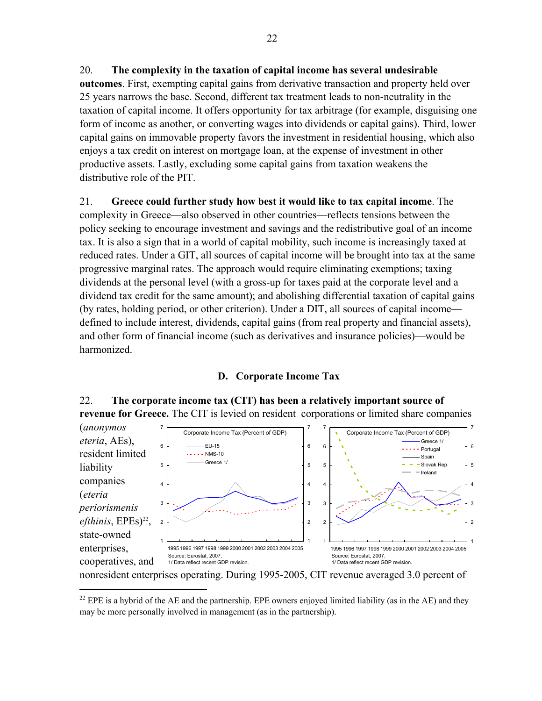## 20. **The complexity in the taxation of capital income has several undesirable**

**outcomes**. First, exempting capital gains from derivative transaction and property held over 25 years narrows the base. Second, different tax treatment leads to non-neutrality in the taxation of capital income. It offers opportunity for tax arbitrage (for example, disguising one form of income as another, or converting wages into dividends or capital gains). Third, lower capital gains on immovable property favors the investment in residential housing, which also enjoys a tax credit on interest on mortgage loan, at the expense of investment in other productive assets. Lastly, excluding some capital gains from taxation weakens the distributive role of the PIT.

21. **Greece could further study how best it would like to tax capital income**. The complexity in Greece—also observed in other countries—reflects tensions between the policy seeking to encourage investment and savings and the redistributive goal of an income tax. It is also a sign that in a world of capital mobility, such income is increasingly taxed at reduced rates. Under a GIT, all sources of capital income will be brought into tax at the same progressive marginal rates. The approach would require eliminating exemptions; taxing dividends at the personal level (with a gross-up for taxes paid at the corporate level and a dividend tax credit for the same amount); and abolishing differential taxation of capital gains (by rates, holding period, or other criterion). Under a DIT, all sources of capital income defined to include interest, dividends, capital gains (from real property and financial assets), and other form of financial income (such as derivatives and insurance policies)—would be harmonized.

### **D. Corporate Income Tax**

### 22. **The corporate income tax (CIT) has been a relatively important source of revenue for Greece.** The CIT is levied on resident corporations or limited share companies



nonresident enterprises operating. During 1995-2005, CIT revenue averaged 3.0 percent of

<sup>&</sup>lt;sup>22</sup> EPE is a hybrid of the AE and the partnership. EPE owners enjoyed limited liability (as in the AE) and they may be more personally involved in management (as in the partnership).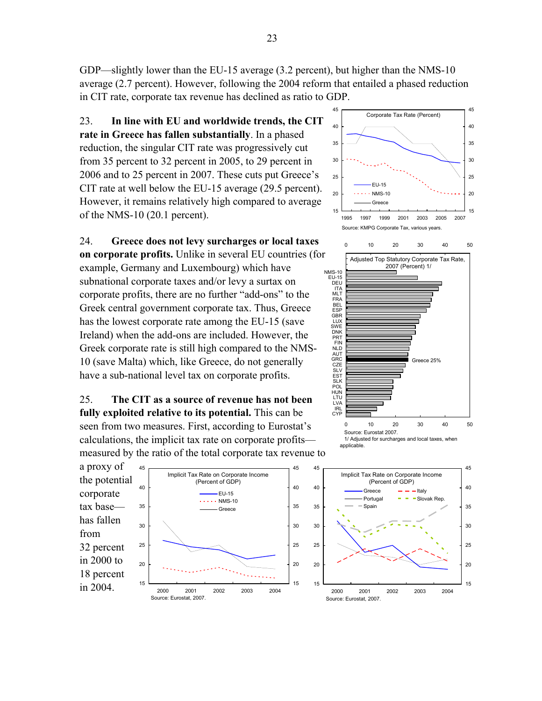23

GDP—slightly lower than the EU-15 average (3.2 percent), but higher than the NMS-10 average (2.7 percent). However, following the 2004 reform that entailed a phased reduction in CIT rate, corporate tax revenue has declined as ratio to GDP.

23. **In line with EU and worldwide trends, the CIT rate in Greece has fallen substantially**. In a phased reduction, the singular CIT rate was progressively cut from 35 percent to 32 percent in 2005, to 29 percent in 2006 and to 25 percent in 2007. These cuts put Greece's CIT rate at well below the EU-15 average (29.5 percent). However, it remains relatively high compared to average of the NMS-10 (20.1 percent).

24. **Greece does not levy surcharges or local taxes on corporate profits.** Unlike in several EU countries (for example, Germany and Luxembourg) which have subnational corporate taxes and/or levy a surtax on corporate profits, there are no further "add-ons" to the Greek central government corporate tax. Thus, Greece has the lowest corporate rate among the EU-15 (save Ireland) when the add-ons are included. However, the Greek corporate rate is still high compared to the NMS-10 (save Malta) which, like Greece, do not generally have a sub-national level tax on corporate profits.

25. **The CIT as a source of revenue has not been fully exploited relative to its potential.** This can be seen from two measures. First, according to Eurostat's calculations, the implicit tax rate on corporate profits measured by the ratio of the total corporate tax revenue to

a proxy of the potential corporate tax base has fallen from 32 percent in 2000 to 18 percent in 2004.







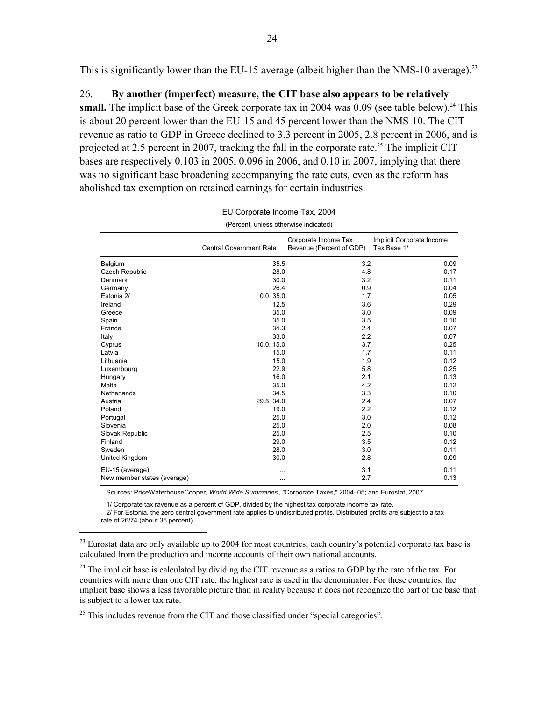This is significantly lower than the EU-15 average (albeit higher than the NMS-10 average).<sup>23</sup>

#### 26. **By another (imperfect) measure, the CIT base also appears to be relatively**

**small.** The implicit base of the Greek corporate tax in 2004 was  $0.09$  (see table below).<sup>24</sup> This is about 20 percent lower than the EU-15 and 45 percent lower than the NMS-10. The CIT revenue as ratio to GDP in Greece declined to 3.3 percent in 2005, 2.8 percent in 2006, and is projected at 2.5 percent in 2007, tracking the fall in the corporate rate.<sup>25</sup> The implicit CIT bases are respectively 0.103 in 2005, 0.096 in 2006, and 0.10 in 2007, implying that there was no significant base broadening accompanying the rate cuts, even as the reform has abolished tax exemption on retained earnings for certain industries.

| (Percent, unless otherwise indicated) |                                |                                                  |                                          |  |  |  |  |
|---------------------------------------|--------------------------------|--------------------------------------------------|------------------------------------------|--|--|--|--|
|                                       | <b>Central Government Rate</b> | Corporate Income Tax<br>Revenue (Percent of GDP) | Implicit Corporate Income<br>Tax Base 1/ |  |  |  |  |
| Belgium                               | 35.5                           | 3.2                                              | 0.09                                     |  |  |  |  |
| <b>Czech Republic</b>                 | 28.0                           | 4.8                                              | 0.17                                     |  |  |  |  |
| Denmark                               | 30.0                           | 3.2                                              | 0.11                                     |  |  |  |  |
| Germany                               | 26.4                           | 0.9                                              | 0.04                                     |  |  |  |  |
| Estonia 2/                            | 0.0, 35.0                      | 1.7                                              | 0.05                                     |  |  |  |  |
| Ireland                               | 12.5                           | 3.6                                              | 0.29                                     |  |  |  |  |
| Greece                                | 35.0                           | 3.0                                              | 0.09                                     |  |  |  |  |
| Spain                                 | 35.0                           | 3.5                                              | 0.10                                     |  |  |  |  |
| France                                | 34.3                           | 2.4                                              | 0.07                                     |  |  |  |  |
| Italy                                 | 33.0                           | 2.2                                              | 0.07                                     |  |  |  |  |
| Cyprus                                | 10.0, 15.0                     | 3.7                                              | 0.25                                     |  |  |  |  |
| Latvia                                | 15.0                           | 1.7                                              | 0.11                                     |  |  |  |  |
| Lithuania                             | 15.0                           | 1.9                                              | 0.12                                     |  |  |  |  |
| Luxembourg                            | 22.9                           | 5.8                                              | 0.25                                     |  |  |  |  |
| Hungary                               | 16.0                           | 2.1                                              | 0.13                                     |  |  |  |  |
| Malta                                 | 35.0                           | 4.2                                              | 0.12                                     |  |  |  |  |
| Netherlands                           | 34.5                           | 3.3                                              | 0.10                                     |  |  |  |  |
| Austria                               | 29.5, 34.0                     | 2.4                                              | 0.07                                     |  |  |  |  |
| Poland                                | 19.0                           | 2.2                                              | 0.12                                     |  |  |  |  |
| Portugal                              | 25.0                           | 3.0                                              | 0.12                                     |  |  |  |  |
| Slovenia                              | 25.0                           | 2.0                                              | 0.08                                     |  |  |  |  |
| Slovak Republic                       | 25.0                           | 2.5                                              | 0.10                                     |  |  |  |  |
| Finland                               | 29.0                           | 3.5                                              | 0.12                                     |  |  |  |  |
| Sweden                                | 28.0                           | 3.0                                              | 0.11                                     |  |  |  |  |
| United Kingdom                        | 30.0                           | 2.8                                              | 0.09                                     |  |  |  |  |
| EU-15 (average)                       | .                              | 3.1                                              | 0.11                                     |  |  |  |  |
| New member states (average)           | $\cdots$                       | 2.7                                              | 0.13                                     |  |  |  |  |
|                                       |                                |                                                  |                                          |  |  |  |  |

| EU Corporate Income Tax, 2004        |  |  |
|--------------------------------------|--|--|
| (Percent unless otherwise indicated) |  |  |

Sources: PriceWaterhouseCooper, *World Wide Summaries* , "Corporate Taxes," 2004–05; and Eurostat, 2007.

1/ Corporate tax ravenue as a percent of GDP, divided by the highest tax corporate income tax rate.

 2/ For Estonia, the zero central government rate applies to undistributed profits. Distributed profits are subject to a tax rate of 26/74 (about 35 percent).

 $^{23}$  Eurostat data are only available up to 2004 for most countries; each country's potential corporate tax base is calculated from the production and income accounts of their own national accounts.

 $^{24}$  The implicit base is calculated by dividing the CIT revenue as a ratios to GDP by the rate of the tax. For countries with more than one CIT rate, the highest rate is used in the denominator. For these countries, the implicit base shows a less favorable picture than in reality because it does not recognize the part of the base that is subject to a lower tax rate.

 $25$  This includes revenue from the CIT and those classified under "special categories".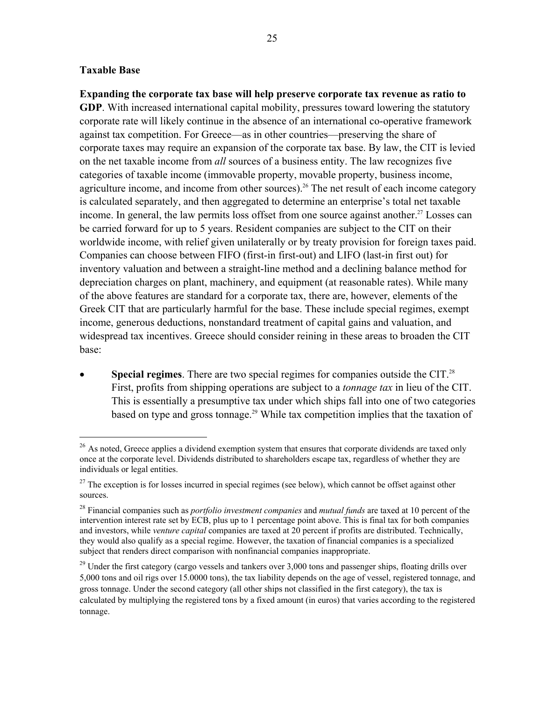#### **Taxable Base**

 $\overline{a}$ 

**Expanding the corporate tax base will help preserve corporate tax revenue as ratio to GDP**. With increased international capital mobility, pressures toward lowering the statutory corporate rate will likely continue in the absence of an international co-operative framework against tax competition. For Greece—as in other countries—preserving the share of corporate taxes may require an expansion of the corporate tax base. By law, the CIT is levied on the net taxable income from *all* sources of a business entity. The law recognizes five categories of taxable income (immovable property, movable property, business income, agriculture income, and income from other sources).<sup>26</sup> The net result of each income category is calculated separately, and then aggregated to determine an enterprise's total net taxable income. In general, the law permits loss offset from one source against another.<sup>27</sup> Losses can be carried forward for up to 5 years. Resident companies are subject to the CIT on their worldwide income, with relief given unilaterally or by treaty provision for foreign taxes paid. Companies can choose between FIFO (first-in first-out) and LIFO (last-in first out) for inventory valuation and between a straight-line method and a declining balance method for depreciation charges on plant, machinery, and equipment (at reasonable rates). While many of the above features are standard for a corporate tax, there are, however, elements of the Greek CIT that are particularly harmful for the base. These include special regimes, exempt income, generous deductions, nonstandard treatment of capital gains and valuation, and widespread tax incentives. Greece should consider reining in these areas to broaden the CIT base:

**Special regimes**. There are two special regimes for companies outside the CIT.<sup>28</sup> First, profits from shipping operations are subject to a *tonnage tax* in lieu of the CIT. This is essentially a presumptive tax under which ships fall into one of two categories based on type and gross tonnage.<sup>29</sup> While tax competition implies that the taxation of

 $^{26}$  As noted, Greece applies a dividend exemption system that ensures that corporate dividends are taxed only once at the corporate level. Dividends distributed to shareholders escape tax, regardless of whether they are individuals or legal entities.

 $27$  The exception is for losses incurred in special regimes (see below), which cannot be offset against other sources.

<sup>28</sup> Financial companies such as *portfolio investment companies* and *mutual funds* are taxed at 10 percent of the intervention interest rate set by ECB, plus up to 1 percentage point above. This is final tax for both companies and investors, while *venture capital* companies are taxed at 20 percent if profits are distributed. Technically, they would also qualify as a special regime. However, the taxation of financial companies is a specialized subject that renders direct comparison with nonfinancial companies inappropriate.

 $^{29}$  Under the first category (cargo vessels and tankers over 3,000 tons and passenger ships, floating drills over 5,000 tons and oil rigs over 15.0000 tons), the tax liability depends on the age of vessel, registered tonnage, and gross tonnage. Under the second category (all other ships not classified in the first category), the tax is calculated by multiplying the registered tons by a fixed amount (in euros) that varies according to the registered tonnage.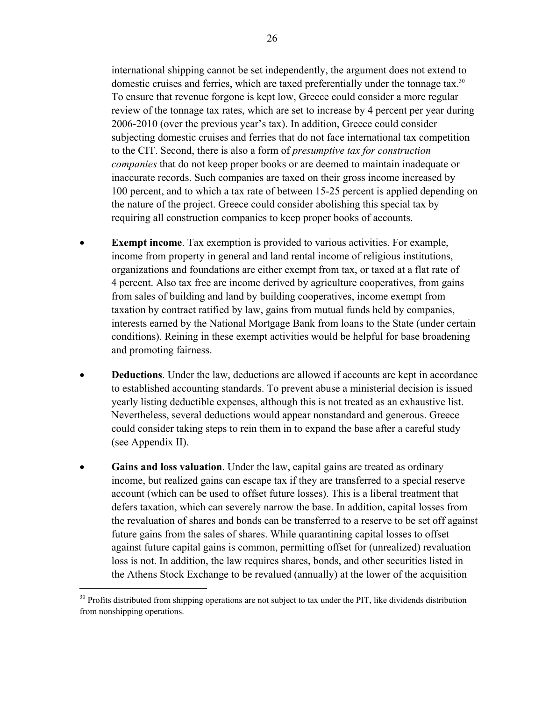international shipping cannot be set independently, the argument does not extend to domestic cruises and ferries, which are taxed preferentially under the tonnage tax.<sup>30</sup> To ensure that revenue forgone is kept low, Greece could consider a more regular review of the tonnage tax rates, which are set to increase by 4 percent per year during 2006-2010 (over the previous year's tax). In addition, Greece could consider subjecting domestic cruises and ferries that do not face international tax competition to the CIT. Second, there is also a form of *presumptive tax for construction companies* that do not keep proper books or are deemed to maintain inadequate or inaccurate records. Such companies are taxed on their gross income increased by 100 percent, and to which a tax rate of between 15-25 percent is applied depending on the nature of the project. Greece could consider abolishing this special tax by requiring all construction companies to keep proper books of accounts.

- **Exempt income**. Tax exemption is provided to various activities. For example, income from property in general and land rental income of religious institutions, organizations and foundations are either exempt from tax, or taxed at a flat rate of 4 percent. Also tax free are income derived by agriculture cooperatives, from gains from sales of building and land by building cooperatives, income exempt from taxation by contract ratified by law, gains from mutual funds held by companies, interests earned by the National Mortgage Bank from loans to the State (under certain conditions). Reining in these exempt activities would be helpful for base broadening and promoting fairness.
- **Deductions**. Under the law, deductions are allowed if accounts are kept in accordance to established accounting standards. To prevent abuse a ministerial decision is issued yearly listing deductible expenses, although this is not treated as an exhaustive list. Nevertheless, several deductions would appear nonstandard and generous. Greece could consider taking steps to rein them in to expand the base after a careful study (see Appendix II).
- **Gains and loss valuation**. Under the law, capital gains are treated as ordinary income, but realized gains can escape tax if they are transferred to a special reserve account (which can be used to offset future losses). This is a liberal treatment that defers taxation, which can severely narrow the base. In addition, capital losses from the revaluation of shares and bonds can be transferred to a reserve to be set off against future gains from the sales of shares. While quarantining capital losses to offset against future capital gains is common, permitting offset for (unrealized) revaluation loss is not. In addition, the law requires shares, bonds, and other securities listed in the Athens Stock Exchange to be revalued (annually) at the lower of the acquisition

1

 $30$  Profits distributed from shipping operations are not subject to tax under the PIT, like dividends distribution from nonshipping operations.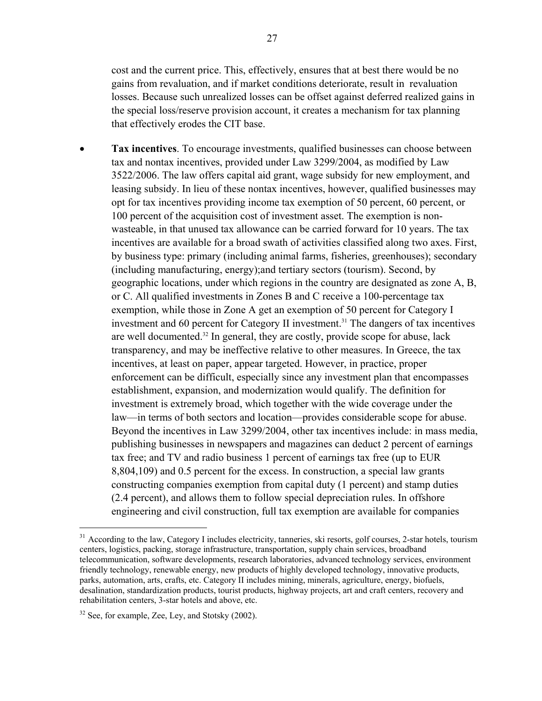cost and the current price. This, effectively, ensures that at best there would be no gains from revaluation, and if market conditions deteriorate, result in revaluation losses. Because such unrealized losses can be offset against deferred realized gains in the special loss/reserve provision account, it creates a mechanism for tax planning that effectively erodes the CIT base.

• **Tax incentives**. To encourage investments, qualified businesses can choose between tax and nontax incentives, provided under Law 3299/2004, as modified by Law 3522/2006. The law offers capital aid grant, wage subsidy for new employment, and leasing subsidy. In lieu of these nontax incentives, however, qualified businesses may opt for tax incentives providing income tax exemption of 50 percent, 60 percent, or 100 percent of the acquisition cost of investment asset. The exemption is nonwasteable, in that unused tax allowance can be carried forward for 10 years. The tax incentives are available for a broad swath of activities classified along two axes. First, by business type: primary (including animal farms, fisheries, greenhouses); secondary (including manufacturing, energy);and tertiary sectors (tourism). Second, by geographic locations, under which regions in the country are designated as zone A, B, or C. All qualified investments in Zones B and C receive a 100-percentage tax exemption, while those in Zone A get an exemption of 50 percent for Category I investment and 60 percent for Category II investment.<sup>31</sup> The dangers of tax incentives are well documented.32 In general, they are costly, provide scope for abuse, lack transparency, and may be ineffective relative to other measures. In Greece, the tax incentives, at least on paper, appear targeted. However, in practice, proper enforcement can be difficult, especially since any investment plan that encompasses establishment, expansion, and modernization would qualify. The definition for investment is extremely broad, which together with the wide coverage under the law—in terms of both sectors and location—provides considerable scope for abuse. Beyond the incentives in Law 3299/2004, other tax incentives include: in mass media, publishing businesses in newspapers and magazines can deduct 2 percent of earnings tax free; and TV and radio business 1 percent of earnings tax free (up to EUR 8,804,109) and 0.5 percent for the excess. In construction, a special law grants constructing companies exemption from capital duty (1 percent) and stamp duties (2.4 percent), and allows them to follow special depreciation rules. In offshore engineering and civil construction, full tax exemption are available for companies

<u>.</u>

<sup>&</sup>lt;sup>31</sup> According to the law, Category I includes electricity, tanneries, ski resorts, golf courses, 2-star hotels, tourism centers, logistics, packing, storage infrastructure, transportation, supply chain services, broadband telecommunication, software developments, research laboratories, advanced technology services, environment friendly technology, renewable energy, new products of highly developed technology, innovative products, parks, automation, arts, crafts, etc. Category II includes mining, minerals, agriculture, energy, biofuels, desalination, standardization products, tourist products, highway projects, art and craft centers, recovery and rehabilitation centers, 3-star hotels and above, etc.

 $32$  See, for example, Zee, Ley, and Stotsky (2002).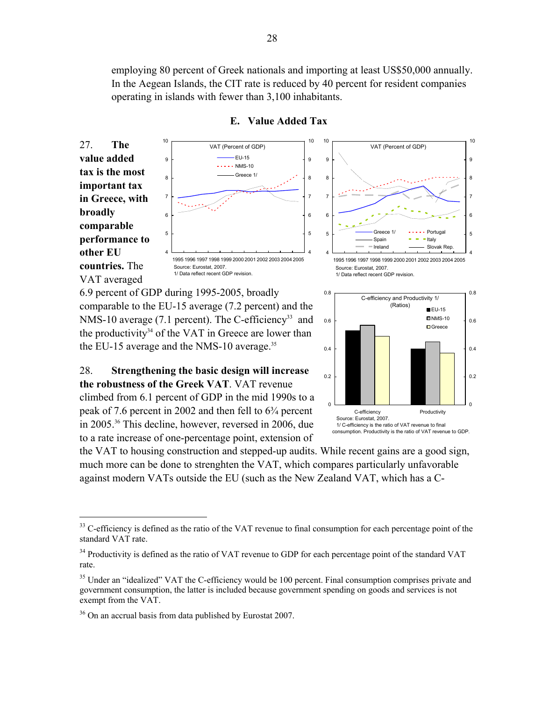employing 80 percent of Greek nationals and importing at least US\$50,000 annually. In the Aegean Islands, the CIT rate is reduced by 40 percent for resident companies operating in islands with fewer than 3,100 inhabitants.

**E. Value Added Tax** 

4 5 6 7 8 9 10 27. **The value added tax is the most important tax in Greece, with broadly comparable performance to other EU countries.** The



VAT (Percent of GDP)



VAT averaged

6.9 percent of GDP during 1995-2005, broadly

comparable to the EU-15 average (7.2 percent) and the NMS-10 average (7.1 percent). The C-efficiency<sup>33</sup> and the productivity<sup>34</sup> of the VAT in Greece are lower than the EU-15 average and the NMS-10 average.<sup>35</sup>

28. **Strengthening the basic design will increase the robustness of the Greek VAT**. VAT revenue climbed from 6.1 percent of GDP in the mid 1990s to a peak of 7.6 percent in 2002 and then fell to 6¾ percent in 2005.36 This decline, however, reversed in 2006, due to a rate increase of one-percentage point, extension of



the VAT to housing construction and stepped-up audits. While recent gains are a good sign, much more can be done to strenghten the VAT, which compares particularly unfavorable against modern VATs outside the EU (such as the New Zealand VAT, which has a C-

<sup>&</sup>lt;sup>33</sup> C-efficiency is defined as the ratio of the VAT revenue to final consumption for each percentage point of the standard VAT rate.

 $34$  Productivity is defined as the ratio of VAT revenue to GDP for each percentage point of the standard VAT rate.

<sup>&</sup>lt;sup>35</sup> Under an "idealized" VAT the C-efficiency would be 100 percent. Final consumption comprises private and government consumption, the latter is included because government spending on goods and services is not exempt from the VAT.

<sup>&</sup>lt;sup>36</sup> On an accrual basis from data published by Eurostat 2007.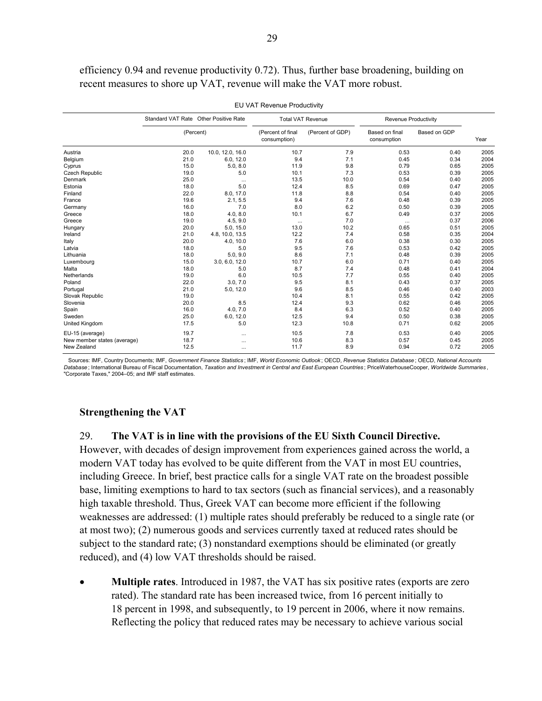efficiency 0.94 and revenue productivity 0.72). Thus, further base broadening, building on recent measures to shore up VAT, revenue will make the VAT more robust.

|                             | Standard VAT Rate Other Positive Rate |                  | <b>Total VAT Revenue</b>          |                  | Revenue Productivity          |              |      |
|-----------------------------|---------------------------------------|------------------|-----------------------------------|------------------|-------------------------------|--------------|------|
|                             | (Percent)                             |                  | (Percent of final<br>consumption) | (Percent of GDP) | Based on final<br>consumption | Based on GDP | Year |
| Austria                     | 20.0                                  | 10.0, 12.0, 16.0 | 10.7                              | 7.9              | 0.53                          | 0.40         | 2005 |
| Belgium                     | 21.0                                  | 6.0, 12.0        | 9.4                               | 7.1              | 0.45                          | 0.34         | 2004 |
| Cyprus                      | 15.0                                  | 5.0, 8.0         | 11.9                              | 9.8              | 0.79                          | 0.65         | 2005 |
| <b>Czech Republic</b>       | 19.0                                  | 5.0              | 10.1                              | 7.3              | 0.53                          | 0.39         | 2005 |
| Denmark                     | 25.0                                  | $\cdots$         | 13.5                              | 10.0             | 0.54                          | 0.40         | 2005 |
| Estonia                     | 18.0                                  | 5.0              | 12.4                              | 8.5              | 0.69                          | 0.47         | 2005 |
| Finland                     | 22.0                                  | 8.0, 17.0        | 11.8                              | 8.8              | 0.54                          | 0.40         | 2005 |
| France                      | 19.6                                  | 2.1, 5.5         | 9.4                               | 7.6              | 0.48                          | 0.39         | 2005 |
| Germany                     | 16.0                                  | 7.0              | 8.0                               | 6.2              | 0.50                          | 0.39         | 2005 |
| Greece                      | 18.0                                  | 4.0, 8.0         | 10.1                              | 6.7              | 0.49                          | 0.37         | 2005 |
| Greece                      | 19.0                                  | 4.5, 9.0         | $\cdots$                          | 7.0              | $\cdots$                      | 0.37         | 2006 |
| Hungary                     | 20.0                                  | 5.0, 15.0        | 13.0                              | 10.2             | 0.65                          | 0.51         | 2005 |
| Ireland                     | 21.0                                  | 4.8, 10.0, 13.5  | 12.2                              | 7.4              | 0.58                          | 0.35         | 2004 |
| Italy                       | 20.0                                  | 4.0, 10.0        | 7.6                               | 6.0              | 0.38                          | 0.30         | 2005 |
| Latvia                      | 18.0                                  | 5.0              | 9.5                               | 7.6              | 0.53                          | 0.42         | 2005 |
| Lithuania                   | 18.0                                  | 5.0, 9.0         | 8.6                               | 7.1              | 0.48                          | 0.39         | 2005 |
| Luxembourg                  | 15.0                                  | 3.0, 6.0, 12.0   | 10.7                              | 6.0              | 0.71                          | 0.40         | 2005 |
| Malta                       | 18.0                                  | 5.0              | 8.7                               | 7.4              | 0.48                          | 0.41         | 2004 |
| Netherlands                 | 19.0                                  | 6.0              | 10.5                              | 7.7              | 0.55                          | 0.40         | 2005 |
| Poland                      | 22.0                                  | 3.0, 7.0         | 9.5                               | 8.1              | 0.43                          | 0.37         | 2005 |
| Portugal                    | 21.0                                  | 5.0, 12.0        | 9.6                               | 8.5              | 0.46                          | 0.40         | 2003 |
| Slovak Republic             | 19.0                                  |                  | 10.4                              | 8.1              | 0.55                          | 0.42         | 2005 |
| Slovenia                    | 20.0                                  | 8.5              | 12.4                              | 9.3              | 0.62                          | 0.46         | 2005 |
| Spain                       | 16.0                                  | 4.0, 7.0         | 8.4                               | 6.3              | 0.52                          | 0.40         | 2005 |
| Sweden                      | 25.0                                  | 6.0, 12.0        | 12.5                              | 9.4              | 0.50                          | 0.38         | 2005 |
| United Kingdom              | 17.5                                  | 5.0              | 12.3                              | 10.8             | 0.71                          | 0.62         | 2005 |
| EU-15 (average)             | 19.7                                  |                  | 10.5                              | 7.8              | 0.53                          | 0.40         | 2005 |
| New member states (average) | 18.7                                  | $\cdots$         | 10.6                              | 8.3              | 0.57                          | 0.45         | 2005 |
| New Zealand                 | 12.5                                  | $\cdots$         | 11.7                              | 8.9              | 0.94                          | 0.72         | 2005 |

EU VAT Revenue Productivity

 Sources: IMF, Country Documents; IMF, *Government Finance Statistics* ; IMF, *World Economic Outlook* ; OECD, *Revenue Statistics Database* ; OECD, *National Accounts Database* ; International Bureau of Fiscal Documentation, *Taxation and Investment in Central and East European Countries* ; PriceWaterhouseCooper, *Worldwide Summaries* , "Corporate Taxes," 2004–05; and IMF staff estimates.

#### **Strengthening the VAT**

29. **The VAT is in line with the provisions of the EU Sixth Council Directive.**

However, with decades of design improvement from experiences gained across the world, a modern VAT today has evolved to be quite different from the VAT in most EU countries, including Greece. In brief, best practice calls for a single VAT rate on the broadest possible base, limiting exemptions to hard to tax sectors (such as financial services), and a reasonably high taxable threshold. Thus, Greek VAT can become more efficient if the following weaknesses are addressed: (1) multiple rates should preferably be reduced to a single rate (or at most two); (2) numerous goods and services currently taxed at reduced rates should be subject to the standard rate; (3) nonstandard exemptions should be eliminated (or greatly reduced), and (4) low VAT thresholds should be raised.

• **Multiple rates**. Introduced in 1987, the VAT has six positive rates (exports are zero rated). The standard rate has been increased twice, from 16 percent initially to 18 percent in 1998, and subsequently, to 19 percent in 2006, where it now remains. Reflecting the policy that reduced rates may be necessary to achieve various social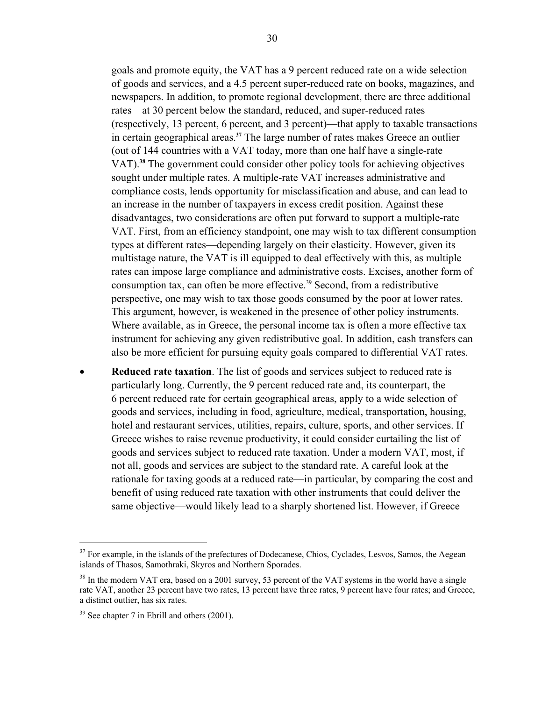goals and promote equity, the VAT has a 9 percent reduced rate on a wide selection of goods and services, and a 4.5 percent super-reduced rate on books, magazines, and newspapers. In addition, to promote regional development, there are three additional rates—at 30 percent below the standard, reduced, and super-reduced rates (respectively, 13 percent, 6 percent, and 3 percent)—that apply to taxable transactions in certain geographical areas.**<sup>37</sup>** The large number of rates makes Greece an outlier (out of 144 countries with a VAT today, more than one half have a single-rate VAT).**<sup>38</sup>** The government could consider other policy tools for achieving objectives sought under multiple rates. A multiple-rate VAT increases administrative and compliance costs, lends opportunity for misclassification and abuse, and can lead to an increase in the number of taxpayers in excess credit position. Against these disadvantages, two considerations are often put forward to support a multiple-rate VAT. First, from an efficiency standpoint, one may wish to tax different consumption types at different rates—depending largely on their elasticity. However, given its multistage nature, the VAT is ill equipped to deal effectively with this, as multiple rates can impose large compliance and administrative costs. Excises, another form of consumption tax, can often be more effective.<sup>39</sup> Second, from a redistributive perspective, one may wish to tax those goods consumed by the poor at lower rates. This argument, however, is weakened in the presence of other policy instruments. Where available, as in Greece, the personal income tax is often a more effective tax instrument for achieving any given redistributive goal. In addition, cash transfers can also be more efficient for pursuing equity goals compared to differential VAT rates.

• **Reduced rate taxation**. The list of goods and services subject to reduced rate is particularly long. Currently, the 9 percent reduced rate and, its counterpart, the 6 percent reduced rate for certain geographical areas, apply to a wide selection of goods and services, including in food, agriculture, medical, transportation, housing, hotel and restaurant services, utilities, repairs, culture, sports, and other services. If Greece wishes to raise revenue productivity, it could consider curtailing the list of goods and services subject to reduced rate taxation. Under a modern VAT, most, if not all, goods and services are subject to the standard rate. A careful look at the rationale for taxing goods at a reduced rate—in particular, by comparing the cost and benefit of using reduced rate taxation with other instruments that could deliver the same objective—would likely lead to a sharply shortened list. However, if Greece

1

<sup>&</sup>lt;sup>37</sup> For example, in the islands of the prefectures of Dodecanese, Chios, Cyclades, Lesvos, Samos, the Aegean islands of Thasos, Samothraki, Skyros and Northern Sporades.

<sup>&</sup>lt;sup>38</sup> In the modern VAT era, based on a 2001 survey, 53 percent of the VAT systems in the world have a single rate VAT, another 23 percent have two rates, 13 percent have three rates, 9 percent have four rates; and Greece, a distinct outlier, has six rates.

 $39$  See chapter 7 in Ebrill and others (2001).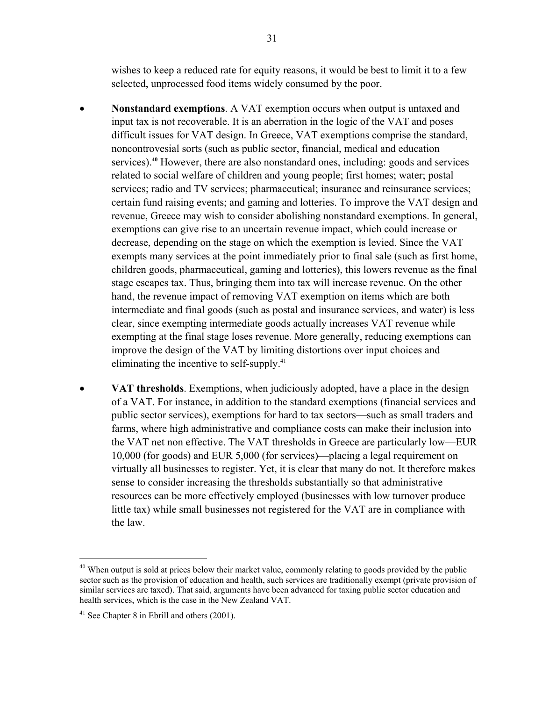wishes to keep a reduced rate for equity reasons, it would be best to limit it to a few selected, unprocessed food items widely consumed by the poor.

- **Nonstandard exemptions**. A VAT exemption occurs when output is untaxed and input tax is not recoverable. It is an aberration in the logic of the VAT and poses difficult issues for VAT design. In Greece, VAT exemptions comprise the standard, noncontrovesial sorts (such as public sector, financial, medical and education services).**<sup>40</sup>** However, there are also nonstandard ones, including: goods and services related to social welfare of children and young people; first homes; water; postal services; radio and TV services; pharmaceutical; insurance and reinsurance services; certain fund raising events; and gaming and lotteries. To improve the VAT design and revenue, Greece may wish to consider abolishing nonstandard exemptions. In general, exemptions can give rise to an uncertain revenue impact, which could increase or decrease, depending on the stage on which the exemption is levied. Since the VAT exempts many services at the point immediately prior to final sale (such as first home, children goods, pharmaceutical, gaming and lotteries), this lowers revenue as the final stage escapes tax. Thus, bringing them into tax will increase revenue. On the other hand, the revenue impact of removing VAT exemption on items which are both intermediate and final goods (such as postal and insurance services, and water) is less clear, since exempting intermediate goods actually increases VAT revenue while exempting at the final stage loses revenue. More generally, reducing exemptions can improve the design of the VAT by limiting distortions over input choices and eliminating the incentive to self-supply.41
- **VAT thresholds**. Exemptions, when judiciously adopted, have a place in the design of a VAT. For instance, in addition to the standard exemptions (financial services and public sector services), exemptions for hard to tax sectors—such as small traders and farms, where high administrative and compliance costs can make their inclusion into the VAT net non effective. The VAT thresholds in Greece are particularly low—EUR 10,000 (for goods) and EUR 5,000 (for services)—placing a legal requirement on virtually all businesses to register. Yet, it is clear that many do not. It therefore makes sense to consider increasing the thresholds substantially so that administrative resources can be more effectively employed (businesses with low turnover produce little tax) while small businesses not registered for the VAT are in compliance with the law.

<u>.</u>

<sup>&</sup>lt;sup>40</sup> When output is sold at prices below their market value, commonly relating to goods provided by the public sector such as the provision of education and health, such services are traditionally exempt (private provision of similar services are taxed). That said, arguments have been advanced for taxing public sector education and health services, which is the case in the New Zealand VAT.

 $41$  See Chapter 8 in Ebrill and others (2001).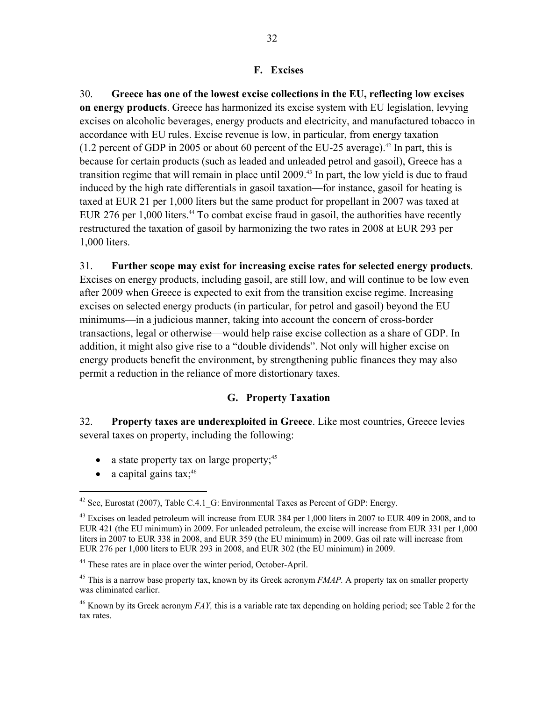#### **F. Excises**

30. **Greece has one of the lowest excise collections in the EU, reflecting low excises on energy products**. Greece has harmonized its excise system with EU legislation, levying excises on alcoholic beverages, energy products and electricity, and manufactured tobacco in accordance with EU rules. Excise revenue is low, in particular, from energy taxation (1.2 percent of GDP in 2005 or about 60 percent of the EU-25 average).<sup>42</sup> In part, this is because for certain products (such as leaded and unleaded petrol and gasoil), Greece has a transition regime that will remain in place until 2009.<sup>43</sup> In part, the low yield is due to fraud induced by the high rate differentials in gasoil taxation—for instance, gasoil for heating is taxed at EUR 21 per 1,000 liters but the same product for propellant in 2007 was taxed at EUR 276 per  $1,000$  liters.<sup>44</sup> To combat excise fraud in gasoil, the authorities have recently restructured the taxation of gasoil by harmonizing the two rates in 2008 at EUR 293 per 1,000 liters.

#### 31. **Further scope may exist for increasing excise rates for selected energy products**.

Excises on energy products, including gasoil, are still low, and will continue to be low even after 2009 when Greece is expected to exit from the transition excise regime. Increasing excises on selected energy products (in particular, for petrol and gasoil) beyond the EU minimums—in a judicious manner, taking into account the concern of cross-border transactions, legal or otherwise—would help raise excise collection as a share of GDP. In addition, it might also give rise to a "double dividends". Not only will higher excise on energy products benefit the environment, by strengthening public finances they may also permit a reduction in the reliance of more distortionary taxes.

### **G. Property Taxation**

32. **Property taxes are underexploited in Greece**. Like most countries, Greece levies several taxes on property, including the following:

- a state property tax on large property; $45$
- a capital gains  $\text{tax:}^{46}$

 $42$  See, Eurostat (2007), Table C.4.1 G: Environmental Taxes as Percent of GDP: Energy.

<sup>&</sup>lt;sup>43</sup> Excises on leaded petroleum will increase from EUR 384 per 1,000 liters in 2007 to EUR 409 in 2008, and to EUR 421 (the EU minimum) in 2009. For unleaded petroleum, the excise will increase from EUR 331 per 1,000 liters in 2007 to EUR 338 in 2008, and EUR 359 (the EU minimum) in 2009. Gas oil rate will increase from EUR 276 per 1,000 liters to EUR 293 in 2008, and EUR 302 (the EU minimum) in 2009.

<sup>44</sup> These rates are in place over the winter period, October-April.

<sup>45</sup> This is a narrow base property tax, known by its Greek acronym *FMAP.* A property tax on smaller property was eliminated earlier.

<sup>&</sup>lt;sup>46</sup> Known by its Greek acronym *FAY*, this is a variable rate tax depending on holding period; see Table 2 for the tax rates.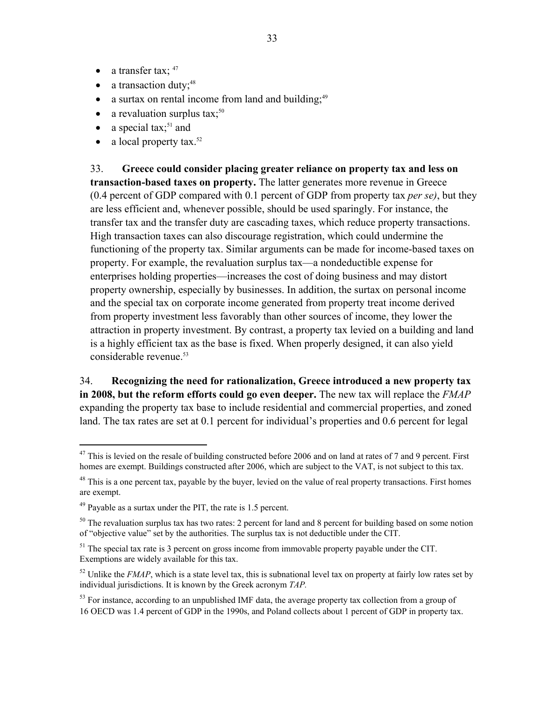- a transfer tax;  $47$
- $\bullet$  a transaction duty;<sup>48</sup>
- a surtax on rental income from land and building; $49$
- a revaluation surplus tax; $50$
- a special tax;<sup>51</sup> and
- a local property  $\text{tax.}^{52}$

33. **Greece could consider placing greater reliance on property tax and less on transaction-based taxes on property.** The latter generates more revenue in Greece (0.4 percent of GDP compared with 0.1 percent of GDP from property tax *per se)*, but they are less efficient and, whenever possible, should be used sparingly. For instance, the transfer tax and the transfer duty are cascading taxes, which reduce property transactions. High transaction taxes can also discourage registration, which could undermine the functioning of the property tax. Similar arguments can be made for income-based taxes on property. For example, the revaluation surplus tax—a nondeductible expense for enterprises holding properties—increases the cost of doing business and may distort property ownership, especially by businesses. In addition, the surtax on personal income and the special tax on corporate income generated from property treat income derived from property investment less favorably than other sources of income, they lower the attraction in property investment. By contrast, a property tax levied on a building and land is a highly efficient tax as the base is fixed. When properly designed, it can also yield considerable revenue.<sup>53</sup>

34. **Recognizing the need for rationalization, Greece introduced a new property tax in 2008, but the reform efforts could go even deeper.** The new tax will replace the *FMAP*  expanding the property tax base to include residential and commercial properties, and zoned land. The tax rates are set at 0.1 percent for individual's properties and 0.6 percent for legal

<u>.</u>

 $47$  This is levied on the resale of building constructed before 2006 and on land at rates of 7 and 9 percent. First homes are exempt. Buildings constructed after 2006, which are subject to the VAT, is not subject to this tax.

<sup>&</sup>lt;sup>48</sup> This is a one percent tax, payable by the buyer, levied on the value of real property transactions. First homes are exempt.

 $49$  Payable as a surtax under the PIT, the rate is 1.5 percent.

 $50$  The revaluation surplus tax has two rates: 2 percent for land and 8 percent for building based on some notion of "objective value" set by the authorities. The surplus tax is not deductible under the CIT.

 $51$  The special tax rate is 3 percent on gross income from immovable property payable under the CIT. Exemptions are widely available for this tax.

 $52$  Unlike the *FMAP*, which is a state level tax, this is subnational level tax on property at fairly low rates set by individual jurisdictions. It is known by the Greek acronym *TAP.*

 $53$  For instance, according to an unpublished IMF data, the average property tax collection from a group of 16 OECD was 1.4 percent of GDP in the 1990s, and Poland collects about 1 percent of GDP in property tax.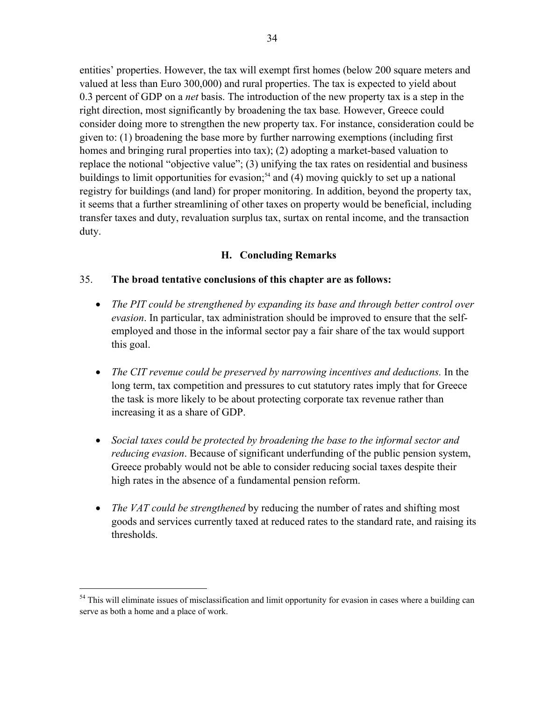entities' properties. However, the tax will exempt first homes (below 200 square meters and valued at less than Euro 300,000) and rural properties. The tax is expected to yield about 0.3 percent of GDP on a *net* basis. The introduction of the new property tax is a step in the right direction, most significantly by broadening the tax base*.* However, Greece could consider doing more to strengthen the new property tax. For instance, consideration could be given to: (1) broadening the base more by further narrowing exemptions (including first homes and bringing rural properties into tax); (2) adopting a market-based valuation to replace the notional "objective value"; (3) unifying the tax rates on residential and business buildings to limit opportunities for evasion;<sup>54</sup> and  $(4)$  moving quickly to set up a national registry for buildings (and land) for proper monitoring. In addition, beyond the property tax, it seems that a further streamlining of other taxes on property would be beneficial, including transfer taxes and duty, revaluation surplus tax, surtax on rental income, and the transaction duty.

### **H. Concluding Remarks**

### 35. **The broad tentative conclusions of this chapter are as follows:**

- *The PIT could be strengthened by expanding its base and through better control over evasion*. In particular, tax administration should be improved to ensure that the selfemployed and those in the informal sector pay a fair share of the tax would support this goal.
- *The CIT revenue could be preserved by narrowing incentives and deductions.* In the long term, tax competition and pressures to cut statutory rates imply that for Greece the task is more likely to be about protecting corporate tax revenue rather than increasing it as a share of GDP.
- *Social taxes could be protected by broadening the base to the informal sector and reducing evasion*. Because of significant underfunding of the public pension system, Greece probably would not be able to consider reducing social taxes despite their high rates in the absence of a fundamental pension reform.
- *The VAT could be strengthened* by reducing the number of rates and shifting most goods and services currently taxed at reduced rates to the standard rate, and raising its thresholds.

<sup>&</sup>lt;sup>54</sup> This will eliminate issues of misclassification and limit opportunity for evasion in cases where a building can serve as both a home and a place of work.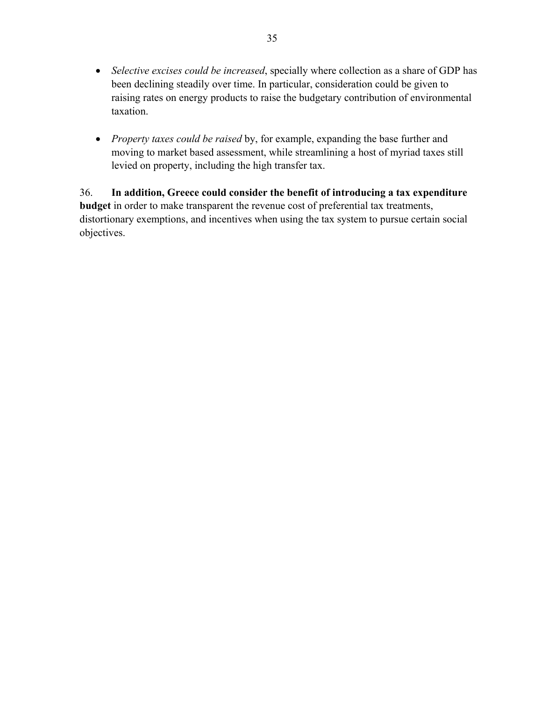- *Selective excises could be increased*, specially where collection as a share of GDP has been declining steadily over time. In particular, consideration could be given to raising rates on energy products to raise the budgetary contribution of environmental taxation.
- *Property taxes could be raised* by, for example, expanding the base further and moving to market based assessment, while streamlining a host of myriad taxes still levied on property, including the high transfer tax.

36. **In addition, Greece could consider the benefit of introducing a tax expenditure budget** in order to make transparent the revenue cost of preferential tax treatments, distortionary exemptions, and incentives when using the tax system to pursue certain social objectives.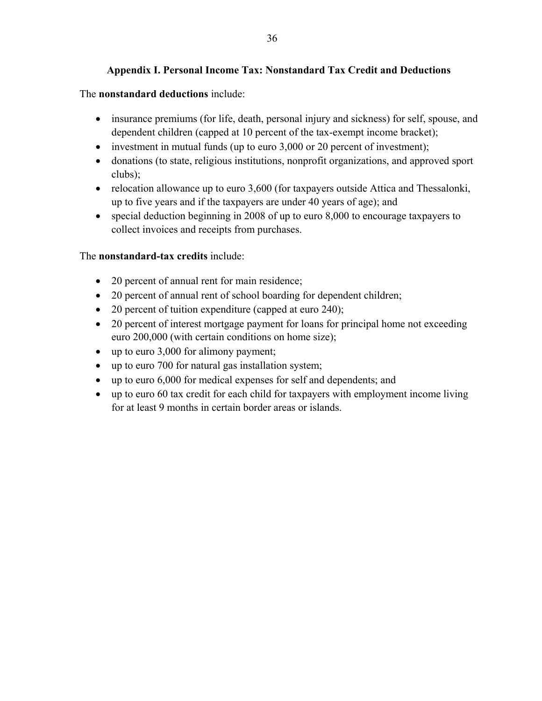### **Appendix I. Personal Income Tax: Nonstandard Tax Credit and Deductions**

### The **nonstandard deductions** include:

- insurance premiums (for life, death, personal injury and sickness) for self, spouse, and dependent children (capped at 10 percent of the tax-exempt income bracket);
- investment in mutual funds (up to euro  $3,000$  or  $20$  percent of investment);
- donations (to state, religious institutions, nonprofit organizations, and approved sport clubs);
- relocation allowance up to euro 3,600 (for taxpayers outside Attica and Thessalonki, up to five years and if the taxpayers are under 40 years of age); and
- special deduction beginning in 2008 of up to euro 8,000 to encourage taxpayers to collect invoices and receipts from purchases.

### The **nonstandard-tax credits** include:

- 20 percent of annual rent for main residence;
- 20 percent of annual rent of school boarding for dependent children;
- 20 percent of tuition expenditure (capped at euro 240);
- 20 percent of interest mortgage payment for loans for principal home not exceeding euro 200,000 (with certain conditions on home size);
- up to euro 3,000 for alimony payment;
- up to euro 700 for natural gas installation system;
- up to euro 6,000 for medical expenses for self and dependents; and
- up to euro 60 tax credit for each child for taxpayers with employment income living for at least 9 months in certain border areas or islands.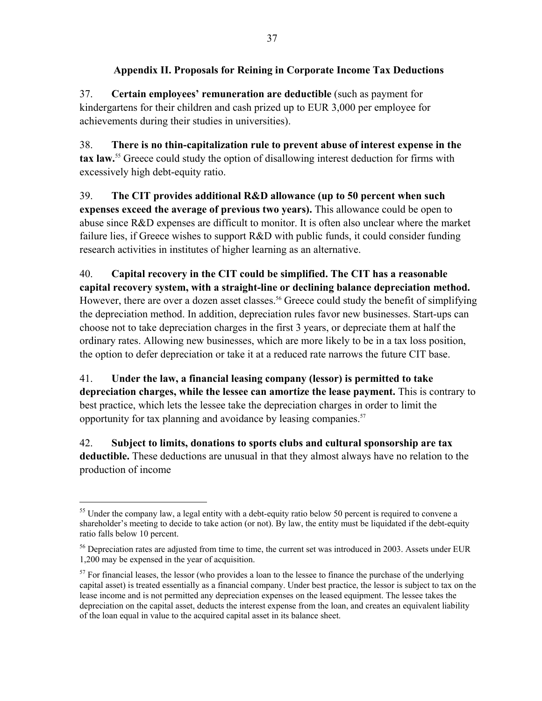## **Appendix II. Proposals for Reining in Corporate Income Tax Deductions**

37. **Certain employees' remuneration are deductible** (such as payment for kindergartens for their children and cash prized up to EUR 3,000 per employee for achievements during their studies in universities).

38. **There is no thin-capitalization rule to prevent abuse of interest expense in the tax law.**<sup>55</sup> Greece could study the option of disallowing interest deduction for firms with excessively high debt-equity ratio.

39. **The CIT provides additional R&D allowance (up to 50 percent when such expenses exceed the average of previous two years).** This allowance could be open to abuse since R&D expenses are difficult to monitor. It is often also unclear where the market failure lies, if Greece wishes to support R&D with public funds, it could consider funding research activities in institutes of higher learning as an alternative.

40. **Capital recovery in the CIT could be simplified. The CIT has a reasonable capital recovery system, with a straight-line or declining balance depreciation method.** However, there are over a dozen asset classes.<sup>56</sup> Greece could study the benefit of simplifying the depreciation method. In addition, depreciation rules favor new businesses. Start-ups can choose not to take depreciation charges in the first 3 years, or depreciate them at half the ordinary rates. Allowing new businesses, which are more likely to be in a tax loss position, the option to defer depreciation or take it at a reduced rate narrows the future CIT base.

41. **Under the law, a financial leasing company (lessor) is permitted to take depreciation charges, while the lessee can amortize the lease payment.** This is contrary to best practice, which lets the lessee take the depreciation charges in order to limit the opportunity for tax planning and avoidance by leasing companies.<sup>57</sup>

42. **Subject to limits, donations to sports clubs and cultural sponsorship are tax deductible.** These deductions are unusual in that they almost always have no relation to the production of income

<sup>&</sup>lt;sup>55</sup> Under the company law, a legal entity with a debt-equity ratio below 50 percent is required to convene a shareholder's meeting to decide to take action (or not). By law, the entity must be liquidated if the debt-equity ratio falls below 10 percent.

<sup>&</sup>lt;sup>56</sup> Depreciation rates are adjusted from time to time, the current set was introduced in 2003. Assets under EUR 1,200 may be expensed in the year of acquisition.

 $57$  For financial leases, the lessor (who provides a loan to the lessee to finance the purchase of the underlying capital asset) is treated essentially as a financial company. Under best practice, the lessor is subject to tax on the lease income and is not permitted any depreciation expenses on the leased equipment. The lessee takes the depreciation on the capital asset, deducts the interest expense from the loan, and creates an equivalent liability of the loan equal in value to the acquired capital asset in its balance sheet.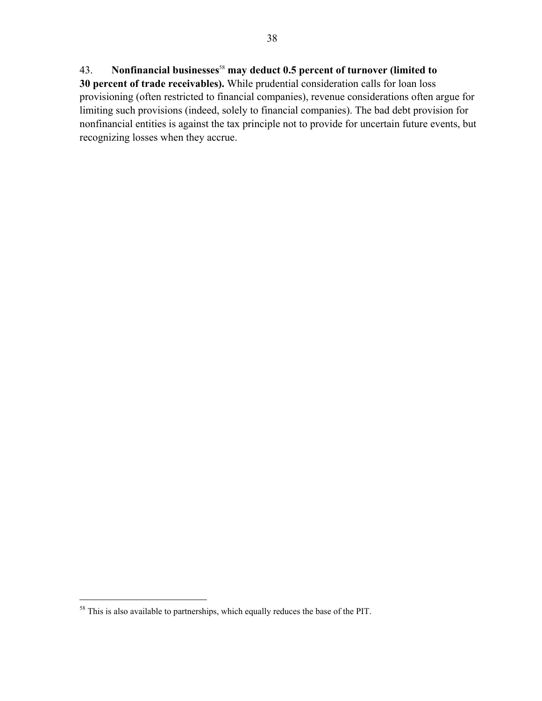# 43. **Nonfinancial businesses**<sup>58</sup> **may deduct 0.5 percent of turnover (limited to**

**30 percent of trade receivables).** While prudential consideration calls for loan loss provisioning (often restricted to financial companies), revenue considerations often argue for limiting such provisions (indeed, solely to financial companies). The bad debt provision for nonfinancial entities is against the tax principle not to provide for uncertain future events, but recognizing losses when they accrue.

 $58$  This is also available to partnerships, which equally reduces the base of the PIT.